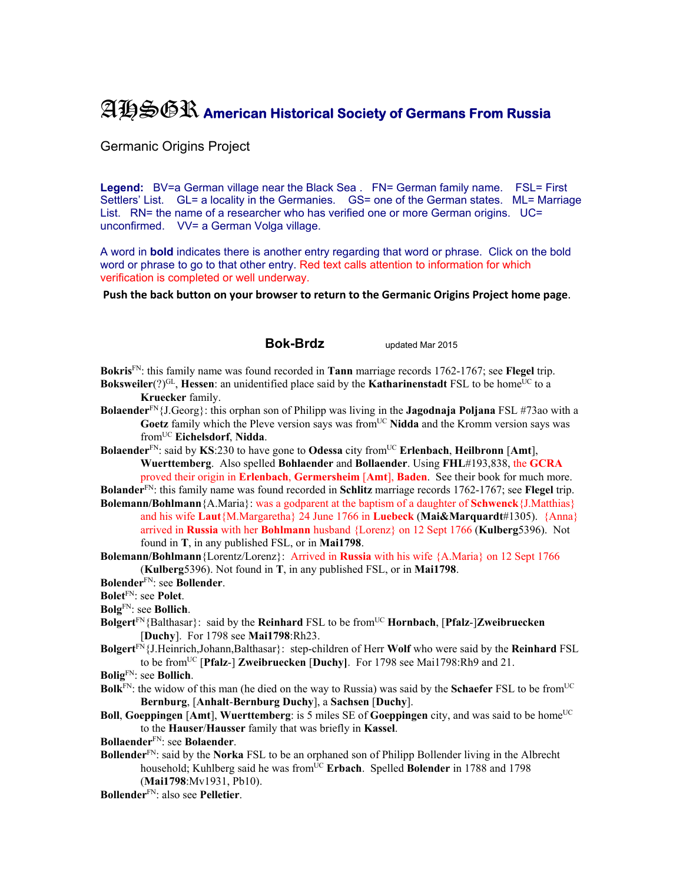## AHSGR **American Historical Society of Germans From Russia**

## Germanic Origins Project

**Legend:** BV=a German village near the Black Sea . FN= German family name. FSL= First Settlers' List. GL= a locality in the Germanies. GS= one of the German states. ML= Marriage List. RN= the name of a researcher who has verified one or more German origins. UC= unconfirmed. VV= a German Volga village.

A word in **bold** indicates there is another entry regarding that word or phrase. Click on the bold word or phrase to go to that other entry. Red text calls attention to information for which verification is completed or well underway.

**Push the back button on your browser to return to the Germanic Origins Project home page**.

## **Bok-Brdz** updated Mar 2015

**Bokris**FN: this family name was found recorded in **Tann** marriage records 1762-1767; see **Flegel** trip. **Boksweiler**(?)<sup>GL</sup>, **Hessen**: an unidentified place said by the **Katharinenstadt** FSL to be home<sup>UC</sup> to a

- **Kruecker** family.
- **Bolaender**FN{J.Georg}: this orphan son of Philipp was living in the **Jagodnaja Poljana** FSL #73ao with a Goetz family which the Pleve version says was from<sup>UC</sup> Nidda and the Kromm version says was fromUC **Eichelsdorf**, **Nidda**.
- **Bolaender**FN: said by **KS**:230 to have gone to **Odessa** city fromUC **Erlenbach**, **Heilbronn** [**Amt**], **Wuerttemberg**. Also spelled **Bohlaender** and **Bollaender**. Using **FHL**#193,838, the **GCRA**  proved their origin in **Erlenbach**, **Germersheim** [**Amt**], **Baden**. See their book for much more.

**Bolander**FN: this family name was found recorded in **Schlitz** marriage records 1762-1767; see **Flegel** trip. **Bolemann/Bohlmann**{A.Maria}: was a godparent at the baptism of a daughter of **Schwenck**{J.Matthias} and his wife **Laut**{M.Margaretha} 24 June 1766 in **Luebeck** (**Mai&Marquardt**#1305). {Anna}

arrived in **Russia** with her **Bohlmann** husband {Lorenz} on 12 Sept 1766 (**Kulberg**5396). Not found in **T**, in any published FSL, or in **Mai1798**.

**Bolemann/Bohlmann**{Lorentz/Lorenz}: Arrived in **Russia** with his wife {A.Maria} on 12 Sept 1766 (**Kulberg**5396). Not found in **T**, in any published FSL, or in **Mai1798**.

**Bolender**FN: see **Bollender**.

**Bolet**FN: see **Polet**.

**Bolg**FN: see **Bollich**.

- **Bolgert**FN{Balthasar}: said by the **Reinhard** FSL to be fromUC **Hornbach**, [**Pfalz**-]**Zweibruecken** [**Duchy**]. For 1798 see **Mai1798**:Rh23.
- **Bolgert**FN{J.Heinrich,Johann,Balthasar}: step-children of Herr **Wolf** who were said by the **Reinhard** FSL to be fromUC [**Pfalz**-] **Zweibruecken** [**Duchy]**. For 1798 see Mai1798:Rh9 and 21.

**Bolig**FN: see **Bollich**.

- **Bolk**<sup>FN</sup>: the widow of this man (he died on the way to Russia) was said by the **Schaefer** FSL to be from<sup>UC</sup> **Bernburg**, [**Anhalt**-**Bernburg Duchy**], a **Sachsen** [**Duchy**].
- **Boll, Goeppingen** [Amt], **Wuerttemberg**: is 5 miles SE of **Goeppingen** city, and was said to be home<sup>UC</sup> to the **Hauser**/**Hausser** family that was briefly in **Kassel**.

**Bollaender**FN: see **Bolaender**.

**Bollender**FN: said by the **Norka** FSL to be an orphaned son of Philipp Bollender living in the Albrecht household; Kuhlberg said he was from<sup>UC</sup> Erbach. Spelled **Bolender** in 1788 and 1798

(**Mai1798**:Mv1931, Pb10). **Bollender**FN: also see **Pelletier**.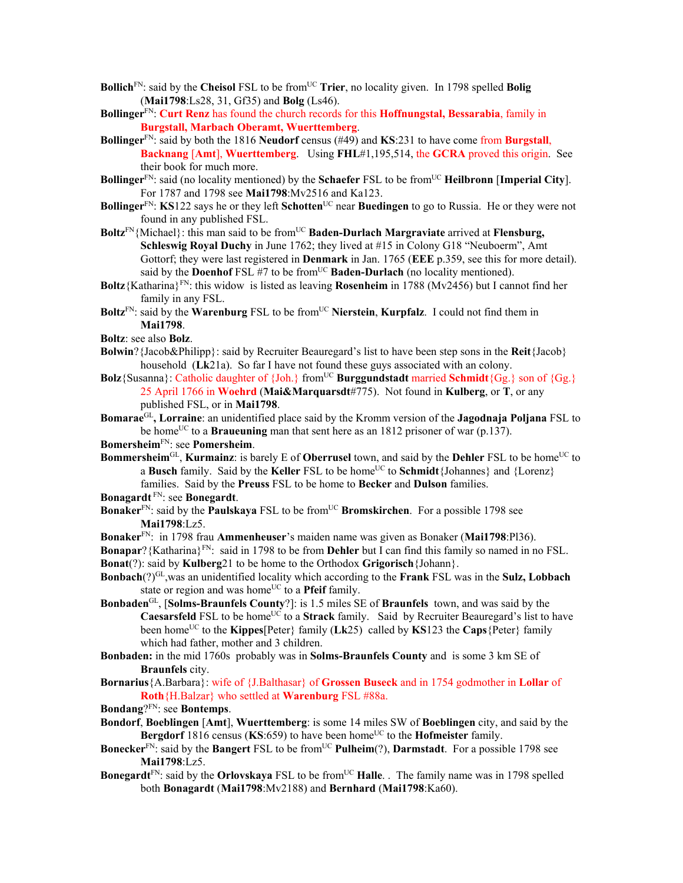- **Bollich**<sup>FN</sup>: said by the **Cheisol** FSL to be from<sup>UC</sup> **Trier**, no locality given. In 1798 spelled **Bolig** (**Mai1798**:Ls28, 31, Gf35) and **Bolg** (Ls46).
- **Bollinger**FN: **Curt Renz** has found the church records for this **Hoffnungstal, Bessarabia**, family in **Burgstall, Marbach Oberamt, Wuerttemberg**.
- **Bollinger**FN: said by both the 1816 **Neudorf** census (#49) and **KS**:231 to have come from **Burgstall**, **Backnang** [**Amt**], **Wuerttemberg**. Using **FHL**#1,195,514, the **GCRA** proved this origin. See their book for much more.
- **Bollinger**<sup>FN</sup>: said (no locality mentioned) by the **Schaefer** FSL to be from<sup>UC</sup> **Heilbronn** [Imperial City]. For 1787 and 1798 see **Mai1798**:Mv2516 and Ka123.
- **Bollinger**FN: **KS**122 says he or they left **Schotten**UC near **Buedingen** to go to Russia. He or they were not found in any published FSL.
- Boltz<sup>FN</sup>{Michael}: this man said to be from<sup>UC</sup> Baden-Durlach Margraviate arrived at **Flensburg**, **Schleswig Royal Duchy** in June 1762; they lived at #15 in Colony G18 "Neuboerm", Amt Gottorf; they were last registered in **Denmark** in Jan. 1765 (**EEE** p.359, see this for more detail). said by the **Doenhof** FSL #7 to be from<sup>UC</sup> **Baden-Durlach** (no locality mentioned).
- **Boltz**{Katharina}FN: this widow is listed as leaving **Rosenheim** in 1788 (Mv2456) but I cannot find her family in any FSL.
- **Boltz**FN: said by the **Warenburg** FSL to be fromUC **Nierstein**, **Kurpfalz**. I could not find them in **Mai1798**.

- **Bolwin**?{Jacob&Philipp}: said by Recruiter Beauregard's list to have been step sons in the **Reit**{Jacob} household (**Lk**21a). So far I have not found these guys associated with an colony.
- **Bolz**{Susanna}: Catholic daughter of {Joh.} from<sup>UC</sup> **Burggundstadt** married **Schmidt**{Gg.} son of {Gg.} 25 April 1766 in **Woehrd** (**Mai&Marquarsdt**#775). Not found in **Kulberg**, or **T**, or any published FSL, or in **Mai1798**.
- **Bomarae**GL**, Lorraine**: an unidentified place said by the Kromm version of the **Jagodnaja Poljana** FSL to be home<sup>UC</sup> to a **Braueuning** man that sent here as an 1812 prisoner of war (p.137).

**Bomersheim**FN: see **Pomersheim**.

**Bommersheim**<sup>GL</sup>, **Kurmainz**: is barely E of **Oberrusel** town, and said by the **Dehler** FSL to be home<sup>UC</sup> to a **Busch** family. Said by the **Keller** FSL to be home<sup>UC</sup> to **Schmidt**{Johannes} and {Lorenz} families. Said by the **Preuss** FSL to be home to **Becker** and **Dulson** families.

**Bonagardt** FN: see **Bonegardt**.

- **Bonaker**<sup>FN</sup>: said by the **Paulskaya** FSL to be from<sup>UC</sup> **Bromskirchen**. For a possible 1798 see **Mai1798**:Lz5.
- **Bonaker**FN: in 1798 frau **Ammenheuser**'s maiden name was given as Bonaker (**Mai1798**:Pl36).

**Bonapar**?{Katharina}FN: said in 1798 to be from **Dehler** but I can find this family so named in no FSL. **Bonat**(?): said by **Kulberg**21 to be home to the Orthodox **Grigorisch**{Johann}.

- **Bonbach**(?)GL,was an unidentified locality which according to the **Frank** FSL was in the **Sulz, Lobbach** state or region and was home<sup>UC</sup> to a **Pfeif** family.
- **Bonbaden**GL, [**Solms-Braunfels County**?]: is 1.5 miles SE of **Braunfels** town, and was said by the **Caesarsfeld** FSL to be home<sup>UC</sup> to a **Strack** family. Said by Recruiter Beauregard's list to have been homeUC to the **Kippes**[Peter} family (**Lk**25) called by **KS**123 the **Caps**{Peter} family which had father, mother and 3 children.
- **Bonbaden:** in the mid 1760s probably was in **Solms-Braunfels County** and is some 3 km SE of **Braunfels** city.
- **Bornarius**{A.Barbara}: wife of {J.Balthasar} of **Grossen Buseck** and in 1754 godmother in **Lollar** of **Roth**{H.Balzar} who settled at **Warenburg** FSL #88a.
- **Bondang**?FN: see **Bontemps**.
- **Bondorf**, **Boeblingen** [**Amt**], **Wuerttemberg**: is some 14 miles SW of **Boeblingen** city, and said by the **Bergdorf** 1816 census (KS:659) to have been home<sup>UC</sup> to the **Hofmeister** family.
- **Bonecker**<sup>FN</sup>: said by the **Bangert** FSL to be from<sup>UC</sup> **Pulheim**(?), **Darmstadt**. For a possible 1798 see **Mai1798**:Lz5.
- **Bonegardt**<sup>FN</sup>: said by the **Orlovskaya** FSL to be from<sup>UC</sup> **Halle**. . The family name was in 1798 spelled both **Bonagardt** (**Mai1798**:Mv2188) and **Bernhard** (**Mai1798**:Ka60).

**Boltz**: see also **Bolz**.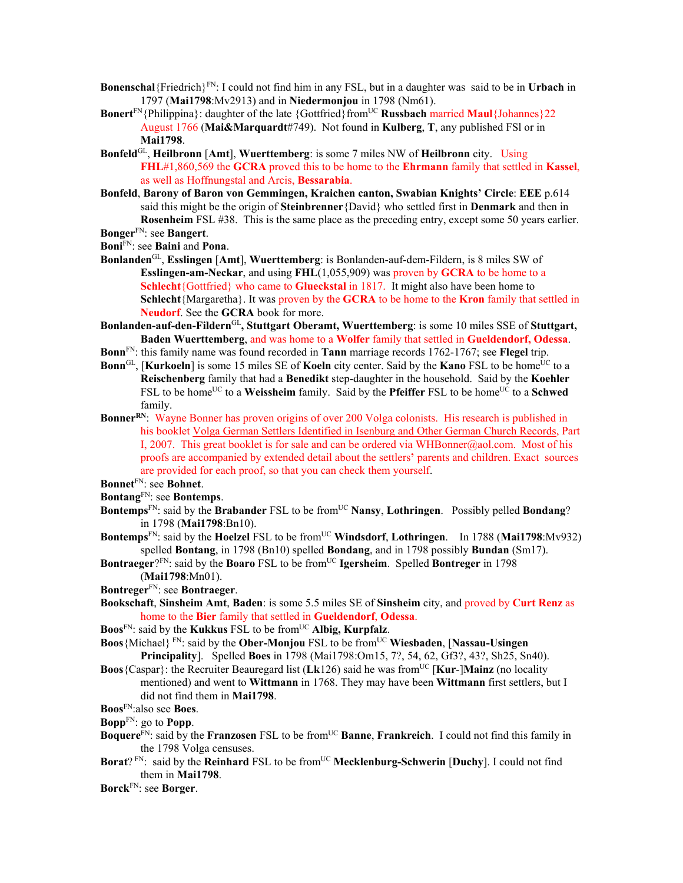- **Bonenschal**{Friedrich}FN: I could not find him in any FSL, but in a daughter was said to be in **Urbach** in 1797 (**Mai1798**:Mv2913) and in **Niedermonjou** in 1798 (Nm61).
- **Bonert**<sup>FN</sup>{Philippina}: daughter of the late {Gottfried}from<sup>UC</sup> **Russbach** married **Maul**{Johannes}22 August 1766 (**Mai&Marquardt**#749). Not found in **Kulberg**, **T**, any published FSl or in **Mai1798**.
- **Bonfeld**GL, **Heilbronn** [**Amt**], **Wuerttemberg**: is some 7 miles NW of **Heilbronn** city. Using **FHL**#1,860,569 the **GCRA** proved this to be home to the **Ehrmann** family that settled in **Kassel**, as well as Hoffnungstal and Arcis, **Bessarabia**.
- **Bonfeld**, **Barony of Baron von Gemmingen, Kraichen canton, Swabian Knights' Circle**: **EEE** p.614 said this might be the origin of **Steinbrenner**{David} who settled first in **Denmark** and then in **Rosenheim** FSL #38. This is the same place as the preceding entry, except some 50 years earlier. **Bonger**FN: see **Bangert**.
- 
- **Boni**FN: see **Baini** and **Pona**.
- **Bonlanden**GL, **Esslingen** [**Amt**], **Wuerttemberg**: is Bonlanden-auf-dem-Fildern, is 8 miles SW of **Esslingen-am-Neckar**, and using **FHL**(1,055,909) was proven by **GCRA** to be home to a **Schlecht**{Gottfried} who came to **Glueckstal** in 1817. It might also have been home to **Schlecht**{Margaretha}. It was proven by the **GCRA** to be home to the **Kron** family that settled in **Neudorf**. See the **GCRA** book for more.
- **Bonlanden-auf-den-Fildern**GL**, Stuttgart Oberamt, Wuerttemberg**: is some 10 miles SSE of **Stuttgart, Baden Wuerttemberg**, and was home to a **Wolfer** family that settled in **Gueldendorf, Odessa**.
- **Bonn**FN: this family name was found recorded in **Tann** marriage records 1762-1767; see **Flegel** trip.
- **Bonn**<sup>GL</sup>, [**Kurkoeln**] is some 15 miles SE of **Koeln** city center. Said by the **Kano** FSL to be home<sup>UC</sup> to a **Reischenberg** family that had a **Benedikt** step-daughter in the household. Said by the **Koehler** FSL to be home<sup>UC</sup> to a **Weissheim** family. Said by the **Pfeiffer** FSL to be home<sup>UC</sup> to a **Schwed** family.
- **Bonner<sup>RN</sup>:** Wayne Bonner has proven origins of over 200 Volga colonists. His research is published in his booklet Volga German Settlers Identified in Isenburg and Other German Church Records, Part I, 2007. This great booklet is for sale and can be ordered via WHBonner@aol.com. Most of his proofs are accompanied by extended detail about the settlers**'** parents and children. Exact sources are provided for each proof, so that you can check them yourself.
- **Bonnet**FN: see **Bohnet**.
- **Bontang**FN: see **Bontemps**.
- **Bontemps**<sup>FN</sup>: said by the **Brabander** FSL to be from<sup>UC</sup> **Nansy**, **Lothringen**. Possibly pelled **Bondang**? in 1798 (**Mai1798**:Bn10).
- **Bontemps**<sup>FN</sup>: said by the **Hoelzel** FSL to be from<sup>UC</sup> **Windsdorf**, **Lothringen**. In 1788 (Mai1798:Mv932) spelled **Bontang**, in 1798 (Bn10) spelled **Bondang**, and in 1798 possibly **Bundan** (Sm17).
- **Bontraeger**?<sup>FN</sup>: said by the **Boaro** FSL to be from<sup>UC</sup> **Igersheim**. Spelled **Bontreger** in 1798 (**Mai1798**:Mn01).
- **Bontreger**FN: see **Bontraeger**.
- **Bookschaft**, **Sinsheim Amt**, **Baden**: is some 5.5 miles SE of **Sinsheim** city, and proved by **Curt Renz** as home to the **Bier** family that settled in **Gueldendorf**, **Odessa**.
- **Boos**FN: said by the **Kukkus** FSL to be fromUC **Albig, Kurpfalz**.
- **Boos** {Michael} FN: said by the **Ober-Monjou** FSL to be from<sup>UC</sup> **Wiesbaden**, [Nassau-Usingen] **Principality**]. Spelled **Boes** in 1798 (Mai1798:Om15, 7?, 54, 62, Gf3?, 43?, Sh25, Sn40).
- **Boos** {Caspar}: the Recruiter Beauregard list ( $Lk126$ ) said he was from<sup>UC</sup> [Kur-]Mainz (no locality mentioned) and went to **Wittmann** in 1768. They may have been **Wittmann** first settlers, but I did not find them in **Mai1798**.
- **Boos**FN:also see **Boes**.
- **Bopp**FN: go to **Popp**.
- **Boquere**<sup>FN</sup>: said by the **Franzosen** FSL to be from<sup>UC</sup> **Banne**, **Frankreich**. I could not find this family in the 1798 Volga censuses.
- **Borat**? FN: said by the **Reinhard** FSL to be from<sup>UC</sup> **Mecklenburg-Schwerin** [Duchy]. I could not find them in **Mai1798**.
- **Borck**FN: see **Borger**.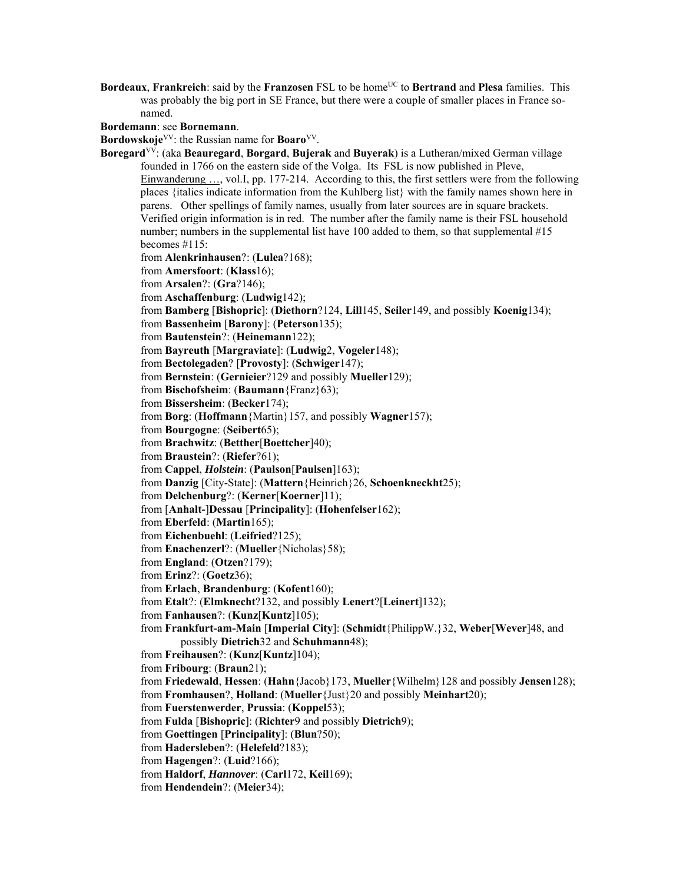**Bordeaux, Frankreich**: said by the **Franzosen** FSL to be home<sup>UC</sup> to **Bertrand** and **Plesa** families. This was probably the big port in SE France, but there were a couple of smaller places in France sonamed.

**Bordemann**: see **Bornemann**.

**Bordowskoje**<sup>VV</sup>: the Russian name for **Boaro**<sup>VV</sup>.

**Boregard**VV: (aka **Beauregard**, **Borgard**, **Bujerak** and **Buyerak**) is a Lutheran/mixed German village founded in 1766 on the eastern side of the Volga. Its FSL is now published in Pleve, Einwanderung …, vol.I, pp. 177-214. According to this, the first settlers were from the following places {italics indicate information from the Kuhlberg list} with the family names shown here in parens. Other spellings of family names, usually from later sources are in square brackets. Verified origin information is in red. The number after the family name is their FSL household number; numbers in the supplemental list have 100 added to them, so that supplemental #15 becomes #115: from **Alenkrinhausen**?: (**Lulea**?168); from **Amersfoort**: (**Klass**16); from **Arsalen**?: (**Gra**?146); from **Aschaffenburg**: (**Ludwig**142); from **Bamberg** [**Bishopric**]: (**Diethorn**?124, **Lill**145, **Seiler**149, and possibly **Koenig**134); from **Bassenheim** [**Barony**]: (**Peterson**135); from **Bautenstein**?: (**Heinemann**122); from **Bayreuth** [**Margraviate**]: (**Ludwig**2, **Vogeler**148); from **Bectolegaden**? [**Provosty**]: (**Schwiger**147); from **Bernstein**: (**Gernieier**?129 and possibly **Mueller**129); from **Bischofsheim**: (**Baumann**{Franz}63); from **Bissersheim**: (**Becker**174); from **Borg**: (**Hoffmann**{Martin}157, and possibly **Wagner**157); from **Bourgogne**: (**Seibert**65); from **Brachwitz**: (**Betther**[**Boettcher**]40); from **Braustein**?: (**Riefer**?61); from **Cappel**, *Holstein*: (**Paulson**[**Paulsen**]163); from **Danzig** [City-State]: (**Mattern**{Heinrich}26, **Schoenkneckht**25); from **Delchenburg**?: (**Kerner**[**Koerner**]11); from [**Anhalt-**]**Dessau** [**Principality**]: (**Hohenfelser**162); from **Eberfeld**: (**Martin**165); from **Eichenbuehl**: (**Leifried**?125); from **Enachenzerl**?: (**Mueller**{Nicholas}58); from **England**: (**Otzen**?179); from **Erinz**?: (**Goetz**36); from **Erlach**, **Brandenburg**: (**Kofent**160); from **Etalt**?: (**Elmknecht**?132, and possibly **Lenert**?[**Leinert**]132); from **Fanhausen**?: (**Kunz**[**Kuntz**]105); from **Frankfurt-am-Main** [**Imperial City**]: (**Schmidt**{PhilippW.}32, **Weber**[**Wever**]48, and possibly **Dietrich**32 and **Schuhmann**48); from **Freihausen**?: (**Kunz**[**Kuntz**]104); from **Fribourg**: (**Braun**21); from **Friedewald**, **Hessen**: (**Hahn**{Jacob}173, **Mueller**{Wilhelm}128 and possibly **Jensen**128); from **Fromhausen**?, **Holland**: (**Mueller**{Just}20 and possibly **Meinhart**20); from **Fuerstenwerder**, **Prussia**: (**Koppel**53); from **Fulda** [**Bishopric**]: (**Richter**9 and possibly **Dietrich**9); from **Goettingen** [**Principality**]: (**Blun**?50); from **Hadersleben**?: (**Helefeld**?183); from **Hagengen**?: (**Luid**?166); from **Haldorf**, *Hannover*: (**Carl**172, **Keil**169); from **Hendendein**?: (**Meier**34);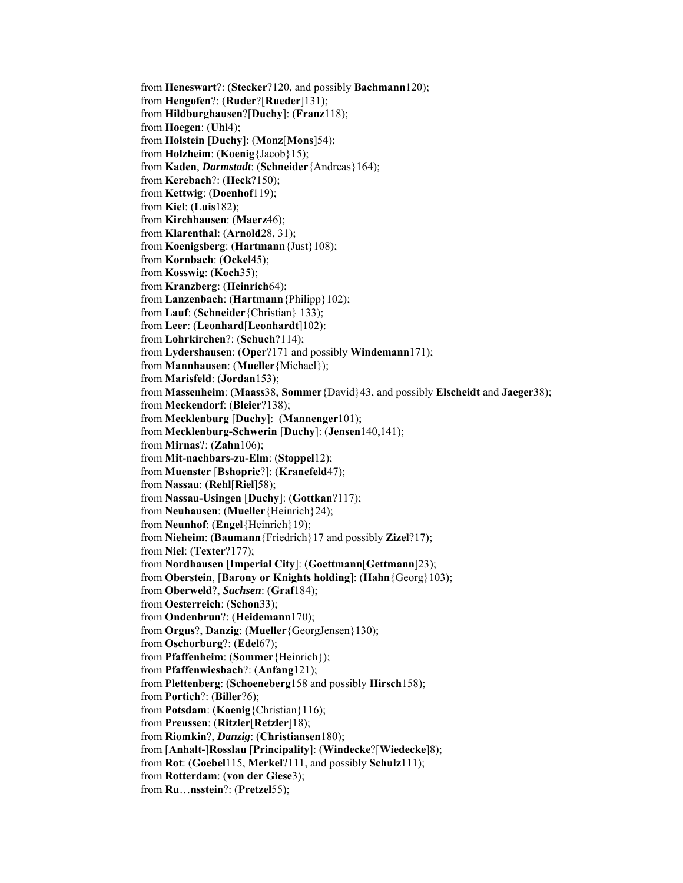from **Heneswart**?: (**Stecker**?120, and possibly **Bachmann**120); from **Hengofen**?: (**Ruder**?[**Rueder**]131); from **Hildburghausen**?[**Duchy**]: (**Franz**118); from **Hoegen**: (**Uhl**4); from **Holstein** [**Duchy**]: (**Monz**[**Mons**]54); from **Holzheim**: (**Koenig**{Jacob}15); from **Kaden**, *Darmstadt*: (**Schneider**{Andreas}164); from **Kerebach**?: (**Heck**?150); from **Kettwig**: (**Doenhof**119); from **Kiel**: (**Luis**182); from **Kirchhausen**: (**Maerz**46); from **Klarenthal**: (**Arnold**28, 31); from **Koenigsberg**: (**Hartmann**{Just}108); from **Kornbach**: (**Ockel**45); from **Kosswig**: (**Koch**35); from **Kranzberg**: (**Heinrich**64); from **Lanzenbach**: (**Hartmann**{Philipp}102); from **Lauf**: (**Schneider**{Christian} 133); from **Leer**: (**Leonhard**[**Leonhardt**]102): from **Lohrkirchen**?: (**Schuch**?114); from **Lydershausen**: (**Oper**?171 and possibly **Windemann**171); from **Mannhausen**: (**Mueller**{Michael}); from **Marisfeld**: (**Jordan**153); from **Massenheim**: (**Maass**38, **Sommer**{David}43, and possibly **Elscheidt** and **Jaeger**38); from **Meckendorf**: (**Bleier**?138); from **Mecklenburg** [**Duchy**]: (**Mannenger**101); from **Mecklenburg-Schwerin** [**Duchy**]: (**Jensen**140,141); from **Mirnas**?: (**Zahn**106); from **Mit-nachbars-zu-Elm**: (**Stoppel**12); from **Muenster** [**Bshopric**?]: (**Kranefeld**47); from **Nassau**: (**Rehl**[**Riel**]58); from **Nassau-Usingen** [**Duchy**]: (**Gottkan**?117); from **Neuhausen**: (**Mueller**{Heinrich}24); from **Neunhof**: (**Engel**{Heinrich}19); from **Nieheim**: (**Baumann**{Friedrich}17 and possibly **Zizel**?17); from **Niel**: (**Texter**?177); from **Nordhausen** [**Imperial City**]: (**Goettmann**[**Gettmann**]23); from **Oberstein**, [**Barony or Knights holding**]: (**Hahn**{Georg}103); from **Oberweld**?, *Sachsen*: (**Graf**184); from **Oesterreich**: (**Schon**33); from **Ondenbrun**?: (**Heidemann**170); from **Orgus**?, **Danzig**: (**Mueller**{GeorgJensen}130); from **Oschorburg**?: (**Edel**67); from **Pfaffenheim**: (**Sommer**{Heinrich}); from **Pfaffenwiesbach**?: (**Anfang**121); from **Plettenberg**: (**Schoeneberg**158 and possibly **Hirsch**158); from **Portich**?: (**Biller**?6); from **Potsdam**: (**Koenig**{Christian}116); from **Preussen**: (**Ritzler**[**Retzler**]18); from **Riomkin**?, *Danzig*: (**Christiansen**180); from [**Anhalt-**]**Rosslau** [**Principality**]: (**Windecke**?[**Wiedecke**]8); from **Rot**: (**Goebel**115, **Merkel**?111, and possibly **Schulz**111); from **Rotterdam**: (**von der Giese**3); from **Ru**…**nsstein**?: (**Pretzel**55);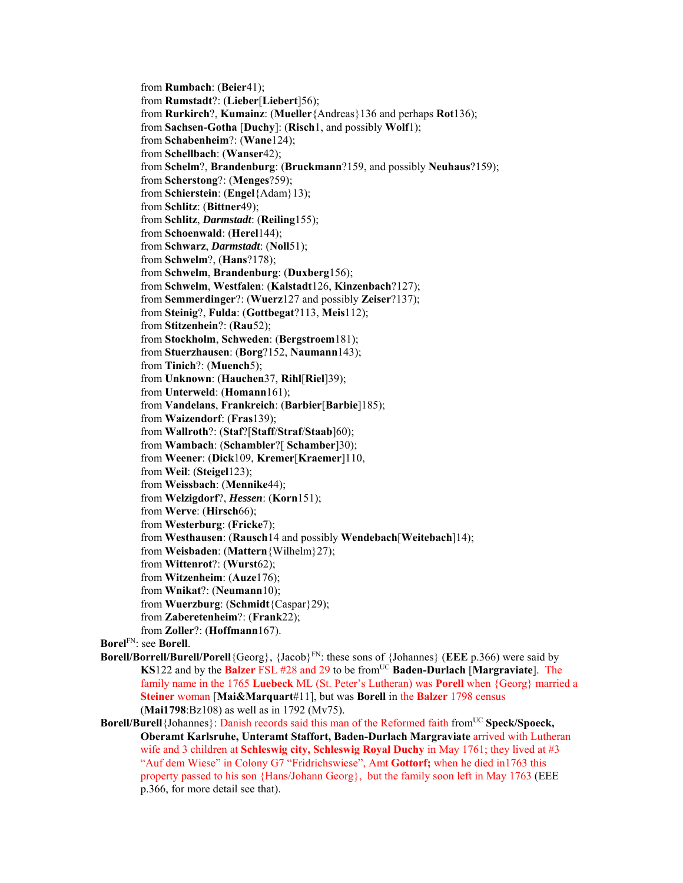from **Rumbach**: (**Beier**41); from **Rumstadt**?: (**Lieber**[**Liebert**]56); from **Rurkirch**?, **Kumainz**: (**Mueller**{Andreas}136 and perhaps **Rot**136); from **Sachsen-Gotha** [**Duchy**]: (**Risch**1, and possibly **Wolf**1); from **Schabenheim**?: (**Wane**124); from **Schellbach**: (**Wanser**42); from **Schelm**?, **Brandenburg**: (**Bruckmann**?159, and possibly **Neuhaus**?159); from **Scherstong**?: (**Menges**?59); from **Schierstein**: (**Engel**{Adam}13); from **Schlitz**: (**Bittner**49); from **Schlitz**, *Darmstadt*: (**Reiling**155); from **Schoenwald**: (**Herel**144); from **Schwarz**, *Darmstadt*: (**Noll**51); from **Schwelm**?, (**Hans**?178); from **Schwelm**, **Brandenburg**: (**Duxberg**156); from **Schwelm**, **Westfalen**: (**Kalstadt**126, **Kinzenbach**?127); from **Semmerdinger**?: (**Wuerz**127 and possibly **Zeiser**?137); from **Steinig**?, **Fulda**: (**Gottbegat**?113, **Meis**112); from **Stitzenhein**?: (**Rau**52); from **Stockholm**, **Schweden**: (**Bergstroem**181); from **Stuerzhausen**: (**Borg**?152, **Naumann**143); from **Tinich**?: (**Muench**5); from **Unknown**: (**Hauchen**37, **Rihl**[**Riel**]39); from **Unterweld**: (**Homann**161); from **Vandelans**, **Frankreich**: (**Barbier**[**Barbie**]185); from **Waizendorf**: (**Fras**139); from **Wallroth**?: (**Staf**?[**Staff**/**Straf**/**Staab**]60); from **Wambach**: (**Schambler**?[ **Schamber**]30); from **Weener**: (**Dick**109, **Kremer**[**Kraemer**]110, from **Weil**: (**Steigel**123); from **Weissbach**: (**Mennike**44); from **Welzigdorf**?, *Hessen*: (**Korn**151); from **Werve**: (**Hirsch**66); from **Westerburg**: (**Fricke**7); from **Westhausen**: (**Rausch**14 and possibly **Wendebach**[**Weitebach**]14); from **Weisbaden**: (**Mattern**{Wilhelm}27); from **Wittenrot**?: (**Wurst**62); from **Witzenheim**: (**Auze**176); from **Wnikat**?: (**Neumann**10); from **Wuerzburg**: (**Schmidt**{Caspar}29); from **Zaberetenheim**?: (**Frank**22); from **Zoller**?: (**Hoffmann**167). **Borel**FN: see **Borell**. **Borell/Borrell/Burell/Porell**{Georg}, {Jacob}<sup>FN</sup>: these sons of {Johannes} (**EEE** p.366) were said by **KS**122 and by the **Balzer** FSL #28 and 29 to be from<sup>UC</sup> Baden-Durlach [Margraviate]. The family name in the 1765 **Luebeck** ML (St. Peter's Lutheran) was **Porell** when {Georg} married a

**Steiner** woman [**Mai&Marquart**#11], but was **Borell** in the **Balzer** 1798 census (**Mai1798**:Bz108) as well as in 1792 (Mv75).

**Borell/Burell**{Johannes}: Danish records said this man of the Reformed faith fromUC **Speck/Spoeck, Oberamt Karlsruhe, Unteramt Staffort, Baden-Durlach Margraviate** arrived with Lutheran wife and 3 children at **Schleswig city, Schleswig Royal Duchy** in May 1761; they lived at #3 "Auf dem Wiese" in Colony G7 "Fridrichswiese", Amt **Gottorf;** when he died in1763 this property passed to his son {Hans/Johann Georg}, but the family soon left in May 1763 (EEE p.366, for more detail see that).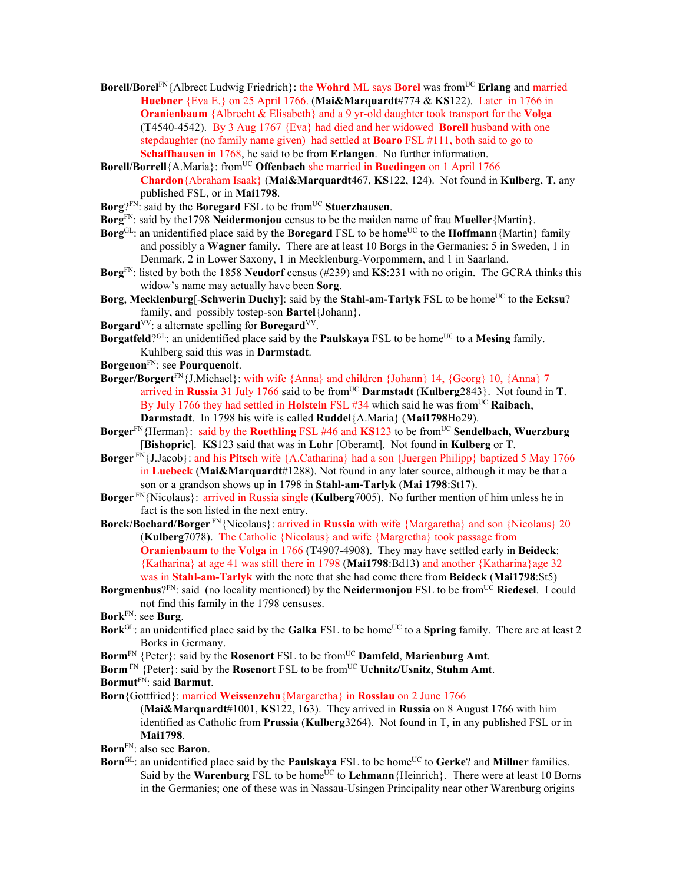- **Borell/Borel**<sup>FN</sup>{Albrect Ludwig Friedrich}: the **Wohrd** ML says **Borel** was from<sup>UC</sup> **Erlang** and married **Huebner** {Eva E.} on 25 April 1766. (**Mai&Marquardt**#774 & **KS**122). Later in 1766 in **Oranienbaum** {Albrecht & Elisabeth} and a 9 yr-old daughter took transport for the **Volga**  (**T**4540-4542). By 3 Aug 1767 {Eva} had died and her widowed **Borell** husband with one stepdaughter (no family name given) had settled at **Boaro** FSL #111, both said to go to **Schaffhausen** in 1768, he said to be from **Erlangen**. No further information.
- **Borell/Borrell**{A.Maria}: from<sup>UC</sup> **Offenbach** she married in **Buedingen** on 1 April 1766 **Chardon**{Abraham Isaak} (**Mai&Marquardt**467, **KS**122, 124). Not found in **Kulberg**, **T**, any published FSL, or in **Mai1798**.
- **Borg**?<sup>FN:</sup> said by the **Boregard** FSL to be from<sup>UC</sup> Stuerzhausen.
- **Borg**FN: said by the1798 **Neidermonjou** census to be the maiden name of frau **Mueller**{Martin}.
- **Borg**<sup>GL</sup>: an unidentified place said by the **Boregard** FSL to be home<sup>UC</sup> to the **Hoffmann** {Martin} family and possibly a **Wagner** family. There are at least 10 Borgs in the Germanies: 5 in Sweden, 1 in Denmark, 2 in Lower Saxony, 1 in Mecklenburg-Vorpommern, and 1 in Saarland.
- **Borg**FN: listed by both the 1858 **Neudorf** census (#239) and **KS**:231 with no origin. The GCRA thinks this widow's name may actually have been **Sorg**.
- **Borg**, Mecklenburg<sup>[</sup>-Schwerin Duchy]: said by the Stahl-am-Tarlyk FSL to be home<sup>UC</sup> to the Ecksu? family, and possibly tostep-son **Bartel**{Johann}.
- **Borgard**VV: a alternate spelling for **Boregard**VV.
- **Borgatfeld**?<sup>GL</sup>: an unidentified place said by the **Paulskaya** FSL to be home<sup>UC</sup> to a **Mesing** family. Kuhlberg said this was in **Darmstadt**.
- **Borgenon**FN: see **Pourquenoit**.
- **Borger/Borgert**<sup>FN</sup>{J.Michael}: with wife {Anna} and children {Johann} 14, {Georg} 10, {Anna} 7 arrived in **Russia** 31 July 1766 said to be from<sup>UC</sup> Darmstadt (Kulberg2843). Not found in **T**. By July 1766 they had settled in **Holstein** FSL #34 which said he was from<sup>UC</sup> Raibach, **Darmstadt**. In 1798 his wife is called **Ruddel**{A.Maria} (**Mai1798**Ho29).
- Borger<sup>FN</sup>{Herman}: said by the **Roethling** FSL #46 and **KS**123 to be from<sup>UC</sup> Sendelbach, Wuerzburg [**Bishopric**]. **KS**123 said that was in **Lohr** [Oberamt]. Not found in **Kulberg** or **T**.
- **Borger** FN{J.Jacob}: and his **Pitsch** wife {A.Catharina} had a son {Juergen Philipp} baptized 5 May 1766 in **Luebeck** (**Mai&Marquardt**#1288). Not found in any later source, although it may be that a son or a grandson shows up in 1798 in **Stahl-am-Tarlyk** (**Mai 1798**:St17).
- **Borger** FN{Nicolaus}: arrived in Russia single (**Kulberg**7005). No further mention of him unless he in fact is the son listed in the next entry.
- **Borck/Bochard/Borger** FN{Nicolaus}: arrived in **Russia** with wife {Margaretha} and son {Nicolaus} 20 (**Kulberg**7078). The Catholic {Nicolaus} and wife {Margretha} took passage from **Oranienbaum** to the **Volga** in 1766 (**T**4907-4908). They may have settled early in **Beideck**: {Katharina} at age 41 was still there in 1798 (**Mai1798**:Bd13) and another {Katharina}age 32 was in **Stahl-am-Tarlyk** with the note that she had come there from **Beideck** (**Mai1798**:St5)
- **Borgmenbus**?FN: said (no locality mentioned) by the **Neidermonjou** FSL to be fromUC **Riedesel**. I could not find this family in the 1798 censuses.
- **Bork**FN: see **Burg**.
- **Bork**<sup>GL</sup>: an unidentified place said by the **Galka** FSL to be home<sup>UC</sup> to a **Spring** family. There are at least 2 Borks in Germany.
- **Borm**<sup>FN</sup> {Peter}: said by the **Rosenort** FSL to be from<sup>UC</sup> **Damfeld**, **Marienburg Amt**.
- **Borm**<sup>FN</sup> {Peter}: said by the **Rosenort** FSL to be from<sup>UC</sup> **Uchnitz/Usnitz**, **Stuhm Amt**.

**Bormut**FN: said **Barmut**.

```
Born{Gottfried}: married Weissenzehn{Margaretha} in Rosslau on 2 June 1766
```
(**Mai&Marquardt**#1001, **KS**122, 163). They arrived in **Russia** on 8 August 1766 with him identified as Catholic from **Prussia** (**Kulberg**3264). Not found in T, in any published FSL or in **Mai1798**.

- **Born**FN: also see **Baron**.
- **Born**<sup>GL</sup>: an unidentified place said by the **Paulskaya** FSL to be home<sup>UC</sup> to **Gerke**? and **Millner** families. Said by the **Warenburg** FSL to be home<sup>UC</sup> to **Lehmann** {Heinrich}. There were at least 10 Borns in the Germanies; one of these was in Nassau-Usingen Principality near other Warenburg origins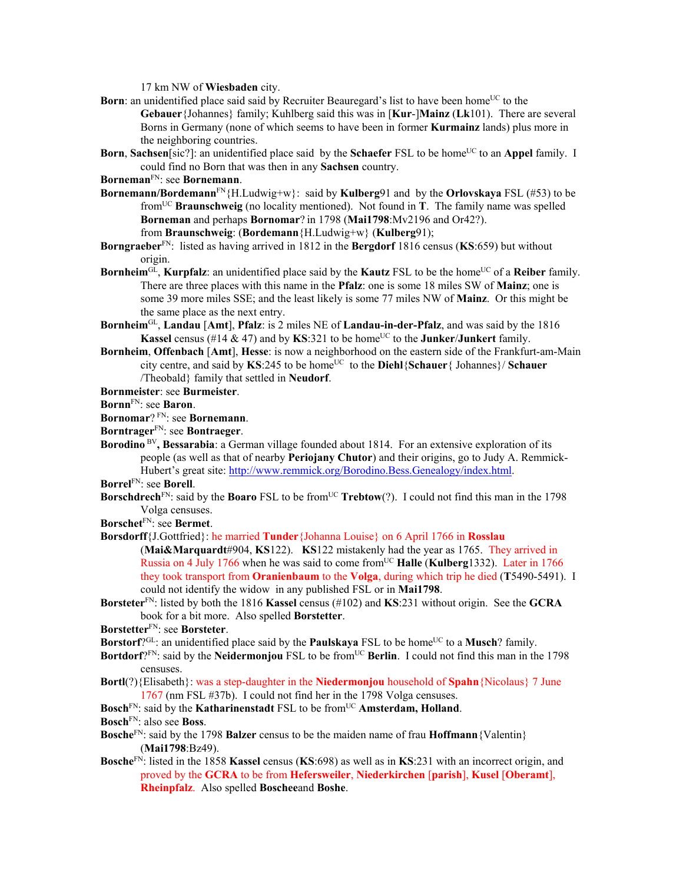17 km NW of **Wiesbaden** city.

- **Born**: an unidentified place said said by Recruiter Beauregard's list to have been home<sup>UC</sup> to the **Gebauer**{Johannes} family; Kuhlberg said this was in [**Kur**-]**Mainz** (**Lk**101). There are several Borns in Germany (none of which seems to have been in former **Kurmainz** lands) plus more in the neighboring countries.
- **Born**, **Sachsen**[sic?]: an unidentified place said by the **Schaefer** FSL to be home<sup>UC</sup> to an **Appel** family. I could find no Born that was then in any **Sachsen** country.
- **Borneman**FN: see **Bornemann**.
- **Bornemann/Bordemann**FN{H.Ludwig+w}: said by **Kulberg**91 and by the **Orlovskaya** FSL (#53) to be fromUC **Braunschweig** (no locality mentioned). Not found in **T**. The family name was spelled **Borneman** and perhaps **Bornomar**? in 1798 (**Mai1798**:Mv2196 and Or42?). from **Braunschweig**: (**Bordemann**{H.Ludwig+w} (**Kulberg**91);
- **Borngraeber**FN: listed as having arrived in 1812 in the **Bergdorf** 1816 census (**KS**:659) but without origin.
- **Bornheim**<sup>GL</sup>, **Kurpfalz**: an unidentified place said by the **Kautz** FSL to be the home<sup>UC</sup> of a **Reiber** family. There are three places with this name in the **Pfalz**: one is some 18 miles SW of **Mainz**; one is some 39 more miles SSE; and the least likely is some 77 miles NW of **Mainz**. Or this might be the same place as the next entry.
- **Bornheim**GL, **Landau** [**Amt**], **Pfalz**: is 2 miles NE of **Landau-in-der-Pfalz**, and was said by the 1816 **Kassel** census (#14  $\&$  47) and by **KS**:321 to be home<sup>UC</sup> to the **Junker**/**Junkert** family.
- **Bornheim**, **Offenbach** [**Amt**], **Hesse**: is now a neighborhood on the eastern side of the Frankfurt-am-Main city centre, and said by KS:245 to be home<sup>UC</sup> to the Diehl{Schauer{ Johannes}/ Schauer /Theobald} family that settled in **Neudorf**.
- **Bornmeister**: see **Burmeister**.
- **Bornn**FN: see **Baron**.
- **Bornomar**? FN: see **Bornemann**.
- **Borntrager**FN: see **Bontraeger**.
- **Borodino** BV**, Bessarabia**: a German village founded about 1814. For an extensive exploration of its people (as well as that of nearby **Periojany Chutor**) and their origins, go to Judy A. Remmick-Hubert's great site: http://www.remmick.org/Borodino.Bess.Genealogy/index.html.
- **Borrel**FN: see **Borell**.
- **Borschdrech**<sup>FN</sup>: said by the **Boaro** FSL to be from<sup>UC</sup> **Trebtow**(?). I could not find this man in the 1798 Volga censuses.
- **Borschet**FN: see **Bermet**.
- **Borsdorff**{J.Gottfried}: he married **Tunder**{Johanna Louise} on 6 April 1766 in **Rosslau** (**Mai&Marquardt**#904, **KS**122). **KS**122 mistakenly had the year as 1765. They arrived in Russia on 4 July 1766 when he was said to come from<sup>UC</sup> Halle (Kulberg<sup>1332)</sup>. Later in 1766 they took transport from **Oranienbaum** to the **Volga**, during which trip he died (**T**5490-5491). I could not identify the widow in any published FSL or in **Mai1798**.
- **Borsteter**FN: listed by both the 1816 **Kassel** census (#102) and **KS**:231 without origin. See the **GCRA** book for a bit more. Also spelled **Borstetter**.
- **Borstetter**FN: see **Borsteter**.
- Borstorf?<sup>GL</sup>: an unidentified place said by the **Paulskaya** FSL to be home<sup>UC</sup> to a Musch? family.
- **Bortdorf**?FN: said by the **Neidermonjou** FSL to be from<sup>UC</sup> **Berlin**. I could not find this man in the 1798 censuses.
- **Bortl**(?){Elisabeth}: was a step-daughter in the **Niedermonjou** household of **Spahn**{Nicolaus} 7 June 1767 (nm FSL #37b).I could not find her in the 1798 Volga censuses.
- **Bosch**<sup>FN</sup>: said by the **Katharinenstadt** FSL to be from<sup>UC</sup> **Amsterdam, Holland**.
- **Bosch**FN: also see **Boss**.
- **Bosche**FN: said by the 1798 **Balzer** census to be the maiden name of frau **Hoffmann**{Valentin} (**Mai1798**:Bz49).
- **Bosche**FN: listed in the 1858 **Kassel** census (**KS**:698) as well as in **KS**:231 with an incorrect origin, and proved by the **GCRA** to be from **Hefersweiler**, **Niederkirchen** [**parish**], **Kusel** [**Oberamt**], **Rheinpfalz**. Also spelled **Boschee**and **Boshe**.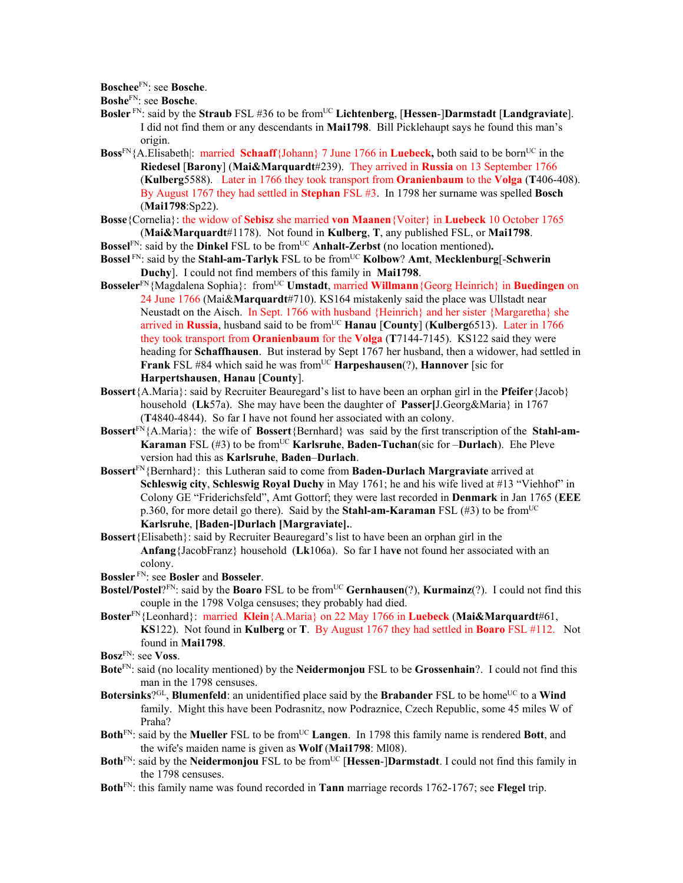**Boschee**FN: see **Bosche**.

**Boshe**FN: see **Bosche**.

- **Bosler** FN: said by the **Straub** FSL #36 to be fromUC **Lichtenberg**, [**Hessen**-]**Darmstadt** [**Landgraviate**]. I did not find them or any descendants in **Mai1798**. Bill Picklehaupt says he found this man's origin.
- **Boss**<sup>FN</sup>{A.Elisabeth|: married **Schaaff**{Johann} 7 June 1766 in **Luebeck**, both said to be born<sup>UC</sup> in the **Riedesel** [**Barony**] (**Mai&Marquardt**#239). They arrived in **Russia** on 13 September 1766 (**Kulberg**5588). Later in 1766 they took transport from **Oranienbaum** to the **Volga** (**T**406-408). By August 1767 they had settled in **Stephan** FSL #3. In 1798 her surname was spelled **Bosch** (**Mai1798**:Sp22).
- **Bosse**{Cornelia}: the widow of **Sebisz** she married **von Maanen**{Voiter} in **Luebeck** 10 October 1765 (**Mai&Marquardt**#1178). Not found in **Kulberg**, **T**, any published FSL, or **Mai1798**.
- **Bossel**<sup>FN</sup>: said by the **Dinkel** FSL to be from<sup>UC</sup> **Anhalt-Zerbst** (no location mentioned).
- **Bossel** FN: said by the **Stahl-am-Tarlyk** FSL to be from<sup>UC</sup> **Kolbow**? **Amt**, **Mecklenburg**[-**Schwerin Duchy**]. I could not find members of this family in **Mai1798**.
- **Bosseler**<sup>FN</sup>{Magdalena Sophia}: from<sup>UC</sup> **Umstadt**, married **Willmann**{Georg Heinrich} in **Buedingen** on 24 June 1766 (Mai&**Marquardt**#710). KS164 mistakenly said the place was Ullstadt near Neustadt on the Aisch. In Sept. 1766 with husband {Heinrich} and her sister {Margaretha} she arrived in **Russia**, husband said to be from<sup>UC</sup> **Hanau** [County] (Kulberg6513). Later in 1766 they took transport from **Oranienbaum** for the **Volga** (**T**7144-7145). KS122 said they were heading for **Schaffhausen**. But insterad by Sept 1767 her husband, then a widower, had settled in **Frank** FSL #84 which said he was from<sup>UC</sup> **Harpeshausen**(?), **Hannover** [sic for **Harpertshausen**, **Hanau** [**County**].
- **Bossert**{A.Maria}: said by Recruiter Beauregard's list to have been an orphan girl in the **Pfeifer**{Jacob} household (**Lk**57a). She may have been the daughter of **Passer[**J.Georg&Maria} in 1767 (**T**4840-4844). So far I have not found her associated with an colony.
- **Bossert**FN{A.Maria}: the wife of **Bossert**{Bernhard} was said by the first transcription of the **Stahl-am-Karaman** FSL (#3) to be fromUC **Karlsruhe**, **Baden-Tuchan**(sic for –**Durlach**). Ehe Pleve version had this as **Karlsruhe**, **Baden**–**Durlach**.
- **Bossert**FN{Bernhard}: this Lutheran said to come from **Baden-Durlach Margraviate** arrived at **Schleswig city**, **Schleswig Royal Duchy** in May 1761; he and his wife lived at #13 "Viehhof" in Colony GE "Friderichsfeld", Amt Gottorf; they were last recorded in **Denmark** in Jan 1765 (**EEE** p.360, for more detail go there). Said by the **Stahl-am-Karaman** FSL (#3) to be fromUC **Karlsruhe**, **[Baden-]Durlach [Margraviate].**.
- **Bossert**{Elisabeth}: said by Recruiter Beauregard's list to have been an orphan girl in the **Anfang**{JacobFranz} household (**Lk**106a). So far I ha**ve** not found her associated with an colony.
- **Bossler** FN: see **Bosler** and **Bosseler**.
- **Bostel/Postel**?<sup>FN</sup>: said by the **Boaro** FSL to be from<sup>UC</sup> **Gernhausen**(?), **Kurmainz**(?). I could not find this couple in the 1798 Volga censuses; they probably had died.
- **Boster**FN{Leonhard}: married **Klein**{A.Maria} on 22 May 1766 in **Luebeck** (**Mai&Marquardt**#61, **KS**122). Not found in **Kulberg** or **T**. By August 1767 they had settled in **Boaro** FSL #112. Not found in **Mai1798**.

- **Bote**FN: said (no locality mentioned) by the **Neidermonjou** FSL to be **Grossenhain**?. I could not find this man in the 1798 censuses.
- **Botersinks**?<sup>GL</sup>, **Blumenfeld**: an unidentified place said by the **Brabander** FSL to be home<sup>UC</sup> to a **Wind** family. Might this have been Podrasnitz, now Podraznice, Czech Republic, some 45 miles W of Praha?
- **Both**<sup>FN</sup>: said by the **Mueller** FSL to be from<sup>UC</sup> **Langen**. In 1798 this family name is rendered **Bott**, and the wife's maiden name is given as **Wolf** (**Mai1798**: Ml08).
- **Both**<sup>FN</sup>: said by the **Neidermonjou** FSL to be from<sup>UC</sup> [**Hessen-**]Darmstadt. I could not find this family in the 1798 censuses.
- **Both**FN: this family name was found recorded in **Tann** marriage records 1762-1767; see **Flegel** trip.

**Bosz**FN: see **Voss**.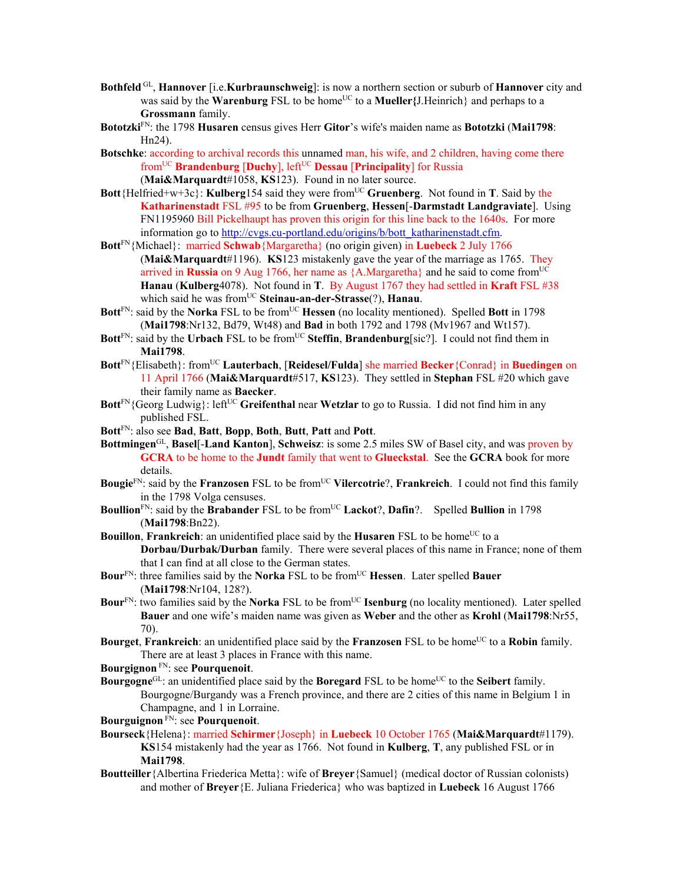- **Bothfeld** GL, **Hannover** [i.e.**Kurbraunschweig**]: is now a northern section or suburb of **Hannover** city and was said by the **Warenburg** FSL to be home<sup>UC</sup> to a **Mueller**{J.Heinrich} and perhaps to a **Grossmann** family.
- **Bototzki**FN: the 1798 **Husaren** census gives Herr **Gitor**'s wife's maiden name as **Bototzki** (**Mai1798**: Hn24).
- **Botschke**: according to archival records this unnamed man, his wife, and 2 children, having come there fromUC **Brandenburg** [**Duchy**], leftUC **Dessau** [**Principality**] for Russia (**Mai&Marquardt**#1058, **KS**123). Found in no later source.
- **Bott**{Helfried+w+3c}: **Kulberg**154 said they were from<sup>UC</sup> Gruenberg. Not found in **T**. Said by the **Katharinenstadt** FSL #95 to be from **Gruenberg**, **Hessen**[-**Darmstadt Landgraviate**]. Using FN1195960 Bill Pickelhaupt has proven this origin for this line back to the 1640s. For more information go to http://cvgs.cu-portland.edu/origins/b/bott\_katharinenstadt.cfm.
- **Bott**FN{Michael}: married **Schwab**{Margaretha} (no origin given) in **Luebeck** 2 July 1766 (**Mai&Marquardt**#1196). **KS**123 mistakenly gave the year of the marriage as 1765. They arrived in **Russia** on 9 Aug 1766, her name as  ${A.Margaretha}$  and he said to come from<sup>UC</sup> **Hanau** (**Kulberg**4078). Not found in **T**. By August 1767 they had settled in **Kraft** FSL #38 which said he was fromUC **Steinau-an-der-Strasse**(?), **Hanau**.
- Bott<sup>FN</sup>: said by the **Norka** FSL to be from<sup>UC</sup> **Hessen** (no locality mentioned). Spelled **Bott** in 1798 (**Mai1798**:Nr132, Bd79, Wt48) and **Bad** in both 1792 and 1798 (Mv1967 and Wt157).
- **Bott**<sup>FN</sup>: said by the **Urbach** FSL to be from<sup>UC</sup> Steffin, **Brandenburg**[sic?]. I could not find them in **Mai1798**.
- **Bott**FN{Elisabeth}: fromUC **Lauterbach**, [**Reidesel/Fulda**] she married **Becker**{Conrad} in **Buedingen** on 11 April 1766 (**Mai&Marquardt**#517, **KS**123). They settled in **Stephan** FSL #20 which gave their family name as **Baecker**.
- **Bott**<sup>FN</sup>{Georg Ludwig}: left<sup>UC</sup> Greifenthal near Wetzlar to go to Russia. I did not find him in any published FSL.
- **Bott**FN: also see **Bad**, **Batt**, **Bopp**, **Both**, **Butt**, **Patt** and **Pott**.
- **Bottmingen**GL, **Basel**[-**Land Kanton**], **Schweisz**: is some 2.5 miles SW of Basel city, and was proven by **GCRA** to be home to the **Jundt** family that went to **Glueckstal**. See the **GCRA** book for more details.
- **Bougie**<sup>FN</sup>: said by the **Franzosen** FSL to be from<sup>UC</sup> Vilercotrie?, **Frankreich**. I could not find this family in the 1798 Volga censuses.
- **Boullion**<sup>FN</sup>: said by the **Brabander** FSL to be from<sup>UC</sup> Lackot?, Dafin?. Spelled Bullion in 1798 (**Mai1798**:Bn22).
- **Bouillon, Frankreich**: an unidentified place said by the **Husaren** FSL to be home<sup>UC</sup> to a **Dorbau/Durbak/Durban** family. There were several places of this name in France; none of them that I can find at all close to the German states.
- **Bour**FN: three families said by the **Norka** FSL to be fromUC **Hessen**. Later spelled **Bauer** (**Mai1798**:Nr104, 128?).
- **Bour**<sup>FN</sup>: two families said by the **Norka** FSL to be from<sup>UC</sup> **Isenburg** (no locality mentioned). Later spelled **Bauer** and one wife's maiden name was given as **Weber** and the other as **Krohl** (**Mai1798**:Nr55, 70).
- **Bourget, Frankreich**: an unidentified place said by the **Franzosen** FSL to be home<sup>UC</sup> to a **Robin** family. There are at least 3 places in France with this name.

**Bourgignon** FN: see **Pourquenoit**.

**Bourgogne**<sup>GL</sup>: an unidentified place said by the **Boregard** FSL to be home<sup>UC</sup> to the **Seibert** family. Bourgogne/Burgandy was a French province, and there are 2 cities of this name in Belgium 1 in Champagne, and 1 in Lorraine.

**Bourguignon** FN: see **Pourquenoit**.

- **Bourseck**{Helena}: married **Schirmer**{Joseph} in **Luebeck** 10 October 1765 (**Mai&Marquardt**#1179). **KS**154 mistakenly had the year as 1766. Not found in **Kulberg**, **T**, any published FSL or in **Mai1798**.
- **Boutteiller**{Albertina Friederica Metta}: wife of **Breyer**{Samuel} (medical doctor of Russian colonists) and mother of **Breyer**{E. Juliana Friederica} who was baptized in **Luebeck** 16 August 1766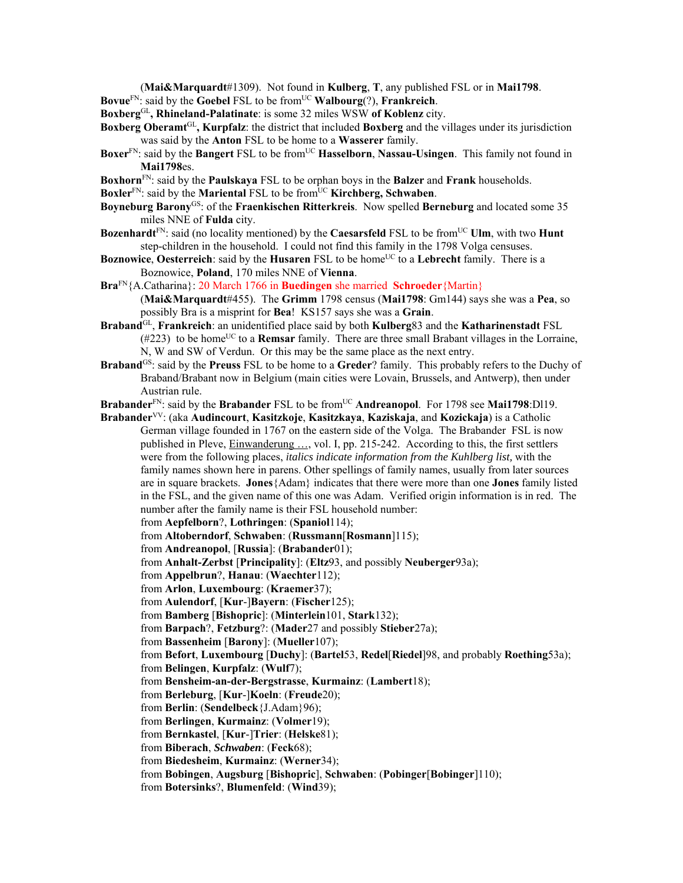(**Mai&Marquardt**#1309). Not found in **Kulberg**, **T**, any published FSL or in **Mai1798**.

**Bovue**FN: said by the **Goebel** FSL to be fromUC **Walbourg**(?), **Frankreich**.

**Boxberg**GL**, Rhineland-Palatinate**: is some 32 miles WSW **of Koblenz** city.

- **Boxberg Oberamt**GL**, Kurpfalz**: the district that included **Boxberg** and the villages under its jurisdiction was said by the **Anton** FSL to be home to a **Wasserer** family.
- Boxer<sup>FN</sup>: said by the Bangert FSL to be from<sup>UC</sup> Hasselborn, Nassau-Usingen. This family not found in **Mai1798**es.
- **Boxhorn**FN: said by the **Paulskaya** FSL to be orphan boys in the **Balzer** and **Frank** households.
- **Boxler**<sup>FN</sup>: said by the **Mariental** FSL to be from<sup>UC</sup> **Kirchberg, Schwaben**.
- **Boyneburg Barony**GS: of the **Fraenkischen Ritterkreis**.Now spelled **Berneburg** and located some 35 miles NNE of **Fulda** city.
- **Bozenhardt**<sup>FN</sup>: said (no locality mentioned) by the **Caesarsfeld** FSL to be from<sup>UC</sup> **Ulm**, with two **Hunt** step-children in the household. I could not find this family in the 1798 Volga censuses.
- **Boznowice, Oesterreich**: said by the **Husaren** FSL to be home<sup>UC</sup> to a Lebrecht family. There is a Boznowice, **Poland**, 170 miles NNE of **Vienna**.
- **Bra**FN{A.Catharina}: 20 March 1766 in **Buedingen** she married **Schroeder**{Martin}
	- (**Mai&Marquardt**#455). The **Grimm** 1798 census (**Mai1798**: Gm144) says she was a **Pea**, so possibly Bra is a misprint for **Bea**! KS157 says she was a **Grain**.
- **Braband**GL, **Frankreich**: an unidentified place said by both **Kulberg**83 and the **Katharinenstadt** FSL  $(\#223)$  to be home<sup>UC</sup> to a **Remsar** family. There are three small Brabant villages in the Lorraine, N, W and SW of Verdun. Or this may be the same place as the next entry.
- **Braband**<sup>GS</sup>: said by the **Preuss** FSL to be home to a **Greder**? family. This probably refers to the Duchy of Braband/Brabant now in Belgium (main cities were Lovain, Brussels, and Antwerp), then under Austrian rule.

**Brabander**<sup>FN</sup>: said by the **Brabander** FSL to be from<sup>UC</sup> Andreanopol. For 1798 see Mai1798:Dl19.

- **Brabander**VV: (aka **Audincourt**, **Kasitzkoje**, **Kasitzkaya**, **Kaziskaja**, and **Kozickaja**) is a Catholic German village founded in 1767 on the eastern side of the Volga. The Brabander FSL is now published in Pleve, Einwanderung …, vol. I, pp. 215-242. According to this, the first settlers were from the following places, *italics indicate information from the Kuhlberg list,* with the family names shown here in parens. Other spellings of family names, usually from later sources are in square brackets. **Jones**{Adam} indicates that there were more than one **Jones** family listed in the FSL, and the given name of this one was Adam. Verified origin information is in red. The number after the family name is their FSL household number: from **Aepfelborn**?, **Lothringen**: (**Spaniol**114); from **Altoberndorf**, **Schwaben**: (**Russmann**[**Rosmann**]115); from **Andreanopol**, [**Russia**]: (**Brabander**01); from **Anhalt-Zerbst** [**Principality**]: (**Eltz**93, and possibly **Neuberger**93a); from **Appelbrun**?, **Hanau**: (**Waechter**112); from **Arlon**, **Luxembourg**: (**Kraemer**37); from **Aulendorf**, [**Kur**-]**Bayern**: (**Fischer**125); from **Bamberg** [**Bishopric**]: (**Minterlein**101, **Stark**132); from **Barpach**?, **Fetzburg**?: (**Mader**27 and possibly **Stieber**27a); from **Bassenheim** [**Barony**]: (**Mueller**107); from **Befort**, **Luxembourg** [**Duchy**]: (**Bartel**53, **Redel**[**Riedel**]98, and probably **Roething**53a); from **Belingen**, **Kurpfalz**: (**Wulf**7); from **Bensheim-an-der-Bergstrasse**, **Kurmainz**: (**Lambert**18); from **Berleburg**, [**Kur**-]**Koeln**: (**Freude**20); from **Berlin**: (**Sendelbeck**{J.Adam}96); from **Berlingen**, **Kurmainz**: (**Volmer**19); from **Bernkastel**, [**Kur**-]**Trier**: (**Helske**81); from **Biberach**, *Schwaben*: (**Feck**68); from **Biedesheim**, **Kurmainz**: (**Werner**34); from **Bobingen**, **Augsburg** [**Bishopric**], **Schwaben**: (**Pobinger**[**Bobinger**]110);
	- from **Botersinks**?, **Blumenfeld**: (**Wind**39);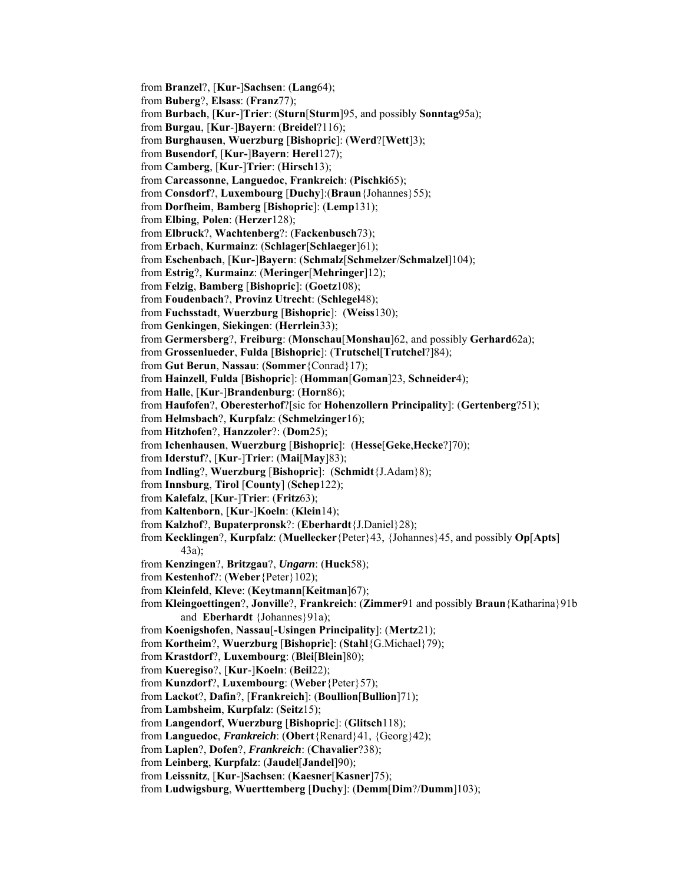from **Branzel**?, [**Kur-**]**Sachsen**: (**Lang**64); from **Buberg**?, **Elsass**: (**Franz**77); from **Burbach**, [**Kur**-]**Trier**: (**Sturn**[**Sturm**]95, and possibly **Sonntag**95a); from **Burgau**, [**Kur**-]**Bayern**: (**Breidel**?116); from **Burghausen**, **Wuerzburg** [**Bishopric**]: (**Werd**?[**Wett**]3); from **Busendorf**, [**Kur-**]**Bayern**: **Herel**127); from **Camberg**, [**Kur**-]**Trier**: (**Hirsch**13); from **Carcassonne**, **Languedoc**, **Frankreich**: (**Pischki**65); from **Consdorf**?, **Luxembourg** [**Duchy**]:(**Braun**{Johannes}55); from **Dorfheim**, **Bamberg** [**Bishopric**]: (**Lemp**131); from **Elbing**, **Polen**: (**Herzer**128); from **Elbruck**?, **Wachtenberg**?: (**Fackenbusch**73); from **Erbach**, **Kurmainz**: (**Schlager**[**Schlaeger**]61); from **Eschenbach**, [**Kur-**]**Bayern**: (**Schmalz**[**Schmelzer**/**Schmalzel**]104); from **Estrig**?, **Kurmainz**: (**Meringer**[**Mehringer**]12); from **Felzig**, **Bamberg** [**Bishopric**]: (**Goetz**108); from **Foudenbach**?, **Provinz Utrecht**: (**Schlegel**48); from **Fuchsstadt**, **Wuerzburg** [**Bishopric**]: (**Weiss**130); from **Genkingen**, **Siekingen**: (**Herrlein**33); from **Germersberg**?, **Freiburg**: (**Monschau**[**Monshau**]62, and possibly **Gerhard**62a); from **Grossenlueder**, **Fulda** [**Bishopric**]: (**Trutschel**[**Trutchel**?]84); from **Gut Berun**, **Nassau**: (**Sommer**{Conrad}17); from **Hainzell**, **Fulda** [**Bishopric**]: (**Homman**[**Goman**]23, **Schneider**4); from **Halle**, [**Kur**-]**Brandenburg**: (**Horn**86); from **Haufofen**?, **Oberesterhof**?[sic for **Hohenzollern Principality**]: (**Gertenberg**?51); from **Helmsbach**?, **Kurpfalz**: (**Schmelzinger**16); from **Hitzhofen**?, **Hanzzoler**?: (**Dom**25); from **Ichenhausen**, **Wuerzburg** [**Bishopric**]: (**Hesse**[**Geke**,**Hecke**?]70); from **Iderstuf**?, [**Kur**-]**Trier**: (**Mai**[**May**]83); from **Indling**?, **Wuerzburg** [**Bishopric**]: (**Schmidt**{J.Adam}8); from **Innsburg**, **Tirol** [**County**] (**Schep**122); from **Kalefalz**, [**Kur**-]**Trier**: (**Fritz**63); from **Kaltenborn**, [**Kur**-]**Koeln**: (**Klein**14); from **Kalzhof**?, **Bupaterpronsk**?: (**Eberhardt**{J.Daniel}28); from **Kecklingen**?, **Kurpfalz**: (**Muellecker**{Peter}43, {Johannes}45, and possibly **Op**[**Apts**] 43a); from **Kenzingen**?, **Britzgau**?, *Ungarn*: (**Huck**58); from **Kestenhof**?: (**Weber**{Peter}102); from **Kleinfeld**, **Kleve**: (**Keytmann**[**Keitman**]67); from **Kleingoettingen**?, **Jonville**?, **Frankreich**: (**Zimmer**91 and possibly **Braun**{Katharina}91b and **Eberhardt** {Johannes} 91a); from **Koenigshofen**, **Nassau**[**-Usingen Principality**]: (**Mertz**21); from **Kortheim**?, **Wuerzburg** [**Bishopric**]: (**Stahl**{G.Michael}79); from **Krastdorf**?, **Luxembourg**: (**Blei**[**Blein**]80); from **Kueregiso**?, [**Kur**-]**Koeln**: (**Beil**22); from **Kunzdorf**?, **Luxembourg**: (**Weber**{Peter}57); from **Lackot**?, **Dafin**?, [**Frankreich**]: (**Boullion**[**Bullion**]71); from **Lambsheim**, **Kurpfalz**: (**Seitz**15); from **Langendorf**, **Wuerzburg** [**Bishopric**]: (**Glitsch**118); from **Languedoc**, *Frankreich*: (**Obert**{Renard}41, {Georg}42); from **Laplen**?, **Dofen**?, *Frankreich*: (**Chavalier**?38); from **Leinberg**, **Kurpfalz**: (**Jaudel**[**Jandel**]90); from **Leissnitz**, [**Kur**-]**Sachsen**: (**Kaesner**[**Kasner**]75); from **Ludwigsburg**, **Wuerttemberg** [**Duchy**]: (**Demm**[**Dim**?/**Dumm**]103);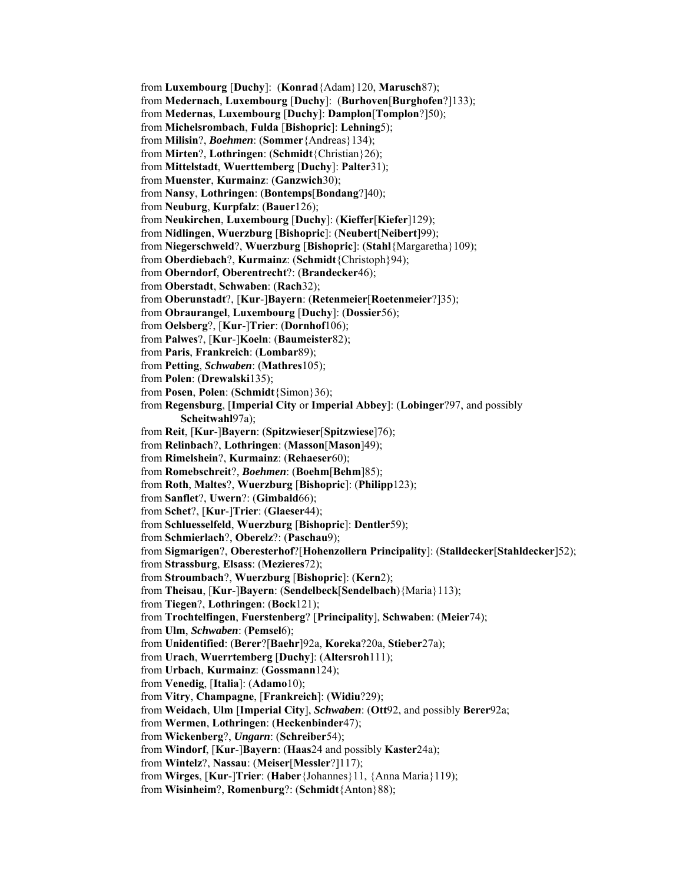from **Luxembourg** [**Duchy**]: (**Konrad**{Adam}120, **Marusch**87);

from **Medernach**, **Luxembourg** [**Duchy**]: (**Burhoven**[**Burghofen**?]133);

from **Medernas**, **Luxembourg** [**Duchy**]: **Damplon**[**Tomplon**?]50);

from **Michelsrombach**, **Fulda** [**Bishopric**]: **Lehning**5);

from **Milisin**?, *Boehmen*: (**Sommer**{Andreas}134);

from **Mirten**?, **Lothringen**: (**Schmidt**{Christian}26);

from **Mittelstadt**, **Wuerttemberg** [**Duchy**]: **Palter**31);

from **Muenster**, **Kurmainz**: (**Ganzwich**30);

from **Nansy**, **Lothringen**: (**Bontemps**[**Bondang**?]40);

from **Neuburg**, **Kurpfalz**: (**Bauer**126);

from **Neukirchen**, **Luxembourg** [**Duchy**]: (**Kieffer**[**Kiefer**]129);

from **Nidlingen**, **Wuerzburg** [**Bishopric**]: (**Neubert**[**Neibert**]99);

from **Niegerschweld**?, **Wuerzburg** [**Bishopric**]: (**Stahl**{Margaretha}109);

from **Oberdiebach**?, **Kurmainz**: (**Schmidt**{Christoph}94);

from **Oberndorf**, **Oberentrecht**?: (**Brandecker**46);

from **Oberstadt**, **Schwaben**: (**Rach**32);

from **Oberunstadt**?, [**Kur**-]**Bayern**: (**Retenmeier**[**Roetenmeier**?]35);

from **Obraurangel**, **Luxembourg** [**Duchy**]: (**Dossier**56);

from **Oelsberg**?, [**Kur**-]**Trier**: (**Dornhof**106);

from **Palwes**?, [**Kur**-]**Koeln**: (**Baumeister**82);

from **Paris**, **Frankreich**: (**Lombar**89);

from **Petting**, *Schwaben*: (**Mathres**105);

from **Polen**: (**Drewalski**135);

from **Posen**, **Polen**: (**Schmidt**{Simon}36);

from **Regensburg**, [**Imperial City** or **Imperial Abbey**]: (**Lobinger**?97, and possibly **Scheitwahl**97a);

from **Reit**, [**Kur**-]**Bayern**: (**Spitzwieser**[**Spitzwiese**]76);

from **Relinbach**?, **Lothringen**: (**Masson**[**Mason**]49);

from **Rimelshein**?, **Kurmainz**: (**Rehaeser**60);

from **Romebschreit**?, *Boehmen*: (**Boehm**[**Behm**]85);

from **Roth**, **Maltes**?, **Wuerzburg** [**Bishopric**]: (**Philipp**123);

from **Sanflet**?, **Uwern**?: (**Gimbald**66);

from **Schet**?, [**Kur**-]**Trier**: (**Glaeser**44);

from **Schluesselfeld**, **Wuerzburg** [**Bishopric**]: **Dentler**59);

from **Schmierlach**?, **Oberelz**?: (**Paschau**9);

from **Sigmarigen**?, **Oberesterhof**?[**Hohenzollern Principality**]: (**Stalldecker**[**Stahldecker**]52);

from **Strassburg**, **Elsass**: (**Mezieres**72);

from **Stroumbach**?, **Wuerzburg** [**Bishopric**]: (**Kern**2);

from **Theisau**, [**Kur**-]**Bayern**: (**Sendelbeck**[**Sendelbach**){Maria}113);

from **Tiegen**?, **Lothringen**: (**Bock**121);

from **Trochtelfingen**, **Fuerstenberg**? [**Principality**], **Schwaben**: (**Meier**74);

from **Ulm**, *Schwaben*: (**Pemsel**6);

from **Unidentified**: (**Berer**?[**Baehr**]92a, **Koreka**?20a, **Stieber**27a);

from **Urach**, **Wuerrtemberg** [**Duchy**]: (**Altersroh**111);

from **Urbach**, **Kurmainz**: (**Gossmann**124);

from **Venedig**, [**Italia**]: (**Adamo**10);

from **Vitry**, **Champagne**, [**Frankreich**]: (**Widiu**?29);

from **Weidach**, **Ulm** [**Imperial City**], *Schwaben*: (**Ott**92, and possibly **Berer**92a;

from **Wermen**, **Lothringen**: (**Heckenbinder**47);

from **Wickenberg**?, *Ungarn*: (**Schreiber**54);

from **Windorf**, [**Kur**-]**Bayern**: (**Haas**24 and possibly **Kaster**24a);

from **Wintelz**?, **Nassau**: (**Meiser**[**Messler**?]117);

from **Wirges**, [**Kur**-]**Trier**: (**Haber**{Johannes}11, {Anna Maria}119);

from **Wisinheim**?, **Romenburg**?: (**Schmidt**{Anton}88);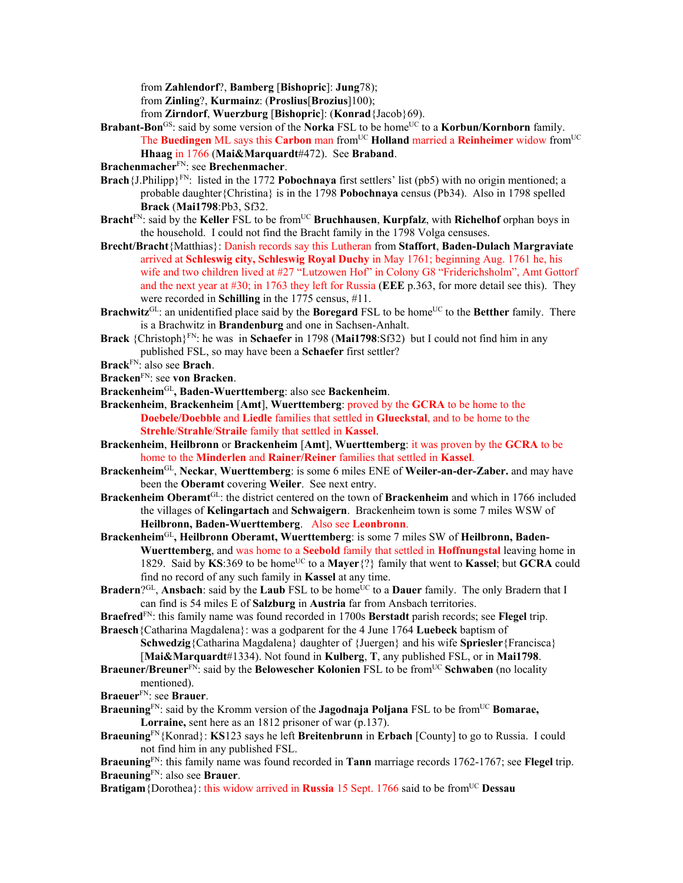from **Zahlendorf**?, **Bamberg** [**Bishopric**]: **Jung**78);

from **Zinling**?, **Kurmainz**: (**Proslius**[**Brozius**]100);

from **Zirndorf**, **Wuerzburg** [**Bishopric**]: (**Konrad**{Jacob}69).

- **Brabant-Bon**<sup>GS</sup>: said by some version of the **Norka** FSL to be home<sup>UC</sup> to a **Korbun/Kornborn** family. The **Buedingen** ML says this **Carbon** man fromUC **Holland** married a **Reinheimer** widow fromUC **Hhaag** in 1766 (**Mai&Marquardt**#472). See **Braband**.
- **Brachenmacher**FN: see **Brechenmacher**.
- **Brach**{J.Philipp}<sup>FN</sup>: listed in the 1772 **Pobochnaya** first settlers' list (pb5) with no origin mentioned; a probable daughter{Christina} is in the 1798 **Pobochnaya** census (Pb34). Also in 1798 spelled **Brack** (**Mai1798**:Pb3, Sf32.
- **Bracht**<sup>FN</sup>: said by the **Keller** FSL to be from<sup>UC</sup> **Bruchhausen**, **Kurpfalz**, with **Richelhof** orphan boys in the household. I could not find the Bracht family in the 1798 Volga censuses.
- **Brecht/Bracht**{Matthias}: Danish records say this Lutheran from **Staffort**, **Baden-Dulach Margraviate** arrived at **Schleswig city, Schleswig Royal Duchy** in May 1761; beginning Aug. 1761 he, his wife and two children lived at #27 "Lutzowen Hof" in Colony G8 "Friderichsholm", Amt Gottorf and the next year at #30; in 1763 they left for Russia (**EEE** p.363, for more detail see this). They were recorded in **Schilling** in the 1775 census, #11.
- **Brachwitz**<sup>GL</sup>: an unidentified place said by the **Boregard** FSL to be home<sup>UC</sup> to the **Betther** family. There is a Brachwitz in **Brandenburg** and one in Sachsen-Anhalt.
- **Brack** {Christoph}FN: he was in **Schaefer** in 1798 (**Mai1798**:Sf32) but I could not find him in any published FSL, so may have been a **Schaefer** first settler?
- **Brack**FN: also see **Brach**.
- **Bracken**FN: see **von Bracken**.
- **Brackenheim**GL**, Baden-Wuerttemberg**: also see **Backenheim**.
- **Brackenheim**, **Brackenheim** [**Amt**], **Wuerttemberg**: proved by the **GCRA** to be home to the **Doebele/Doebble** and **Liedle** families that settled in **Glueckstal**, and to be home to the **Strehle**/**Strahle**/**Straile** family that settled in **Kassel**.
- **Brackenheim**, **Heilbronn** or **Brackenheim** [**Amt**], **Wuerttemberg**: it was proven by the **GCRA** to be home to the **Minderlen** and **Rainer/Reiner** families that settled in **Kassel**.
- **Brackenheim**GL, **Neckar**, **Wuerttemberg**: is some 6 miles ENE of **Weiler-an-der-Zaber.** and may have been the **Oberamt** covering **Weiler**. See next entry.
- **Brackenheim Oberamt**GL: the district centered on the town of **Brackenheim** and which in 1766 included the villages of **Kelingartach** and **Schwaigern**.Brackenheim town is some 7 miles WSW of **Heilbronn, Baden-Wuerttemberg**. Also see **Leonbronn**.
- **Brackenheim**GL**, Heilbronn Oberamt, Wuerttemberg**: is some 7 miles SW of **Heilbronn, Baden-Wuerttemberg**, and was home to a **Seebold** family that settled in **Hoffnungstal** leaving home in 1829. Said by KS:369 to be home<sup>UC</sup> to a Mayer<sup>{?}</sup> family that went to Kassel; but GCRA could find no record of any such family in **Kassel** at any time.
- **Bradern**?<sup>GL</sup>, **Ansbach**: said by the **Laub** FSL to be home<sup>UC</sup> to a **Dauer** family. The only Bradern that I can find is 54 miles E of **Salzburg** in **Austria** far from Ansbach territories.
- **Braefred**FN: this family name was found recorded in 1700s **Berstadt** parish records; see **Flegel** trip. **Braesch**{Catharina Magdalena}: was a godparent for the 4 June 1764 **Luebeck** baptism of

**Schwedzig**{Catharina Magdalena} daughter of {Juergen} and his wife **Spriesler**{Francisca} [**Mai&Marquardt**#1334). Not found in **Kulberg**, **T**, any published FSL, or in **Mai1798**.

- **Braeuner/Breuner**FN: said by the **Belowescher Kolonien** FSL to be fromUC **Schwaben** (no locality mentioned).
- **Braeuer**FN: see **Brauer**.
- **Braeuning**<sup>FN</sup>: said by the Kromm version of the **Jagodnaja Poljana** FSL to be from<sup>UC</sup> **Bomarae, Lorraine,** sent here as an 1812 prisoner of war (p.137).
- **Braeuning**FN{Konrad}: **KS**123 says he left **Breitenbrunn** in **Erbach** [County] to go to Russia. I could not find him in any published FSL.

**Braeuning**FN: this family name was found recorded in **Tann** marriage records 1762-1767; see **Flegel** trip. **Braeuning**FN: also see **Brauer**.

**Bratigam**{Dorothea}: this widow arrived in **Russia** 15 Sept. 1766 said to be from<sup>UC</sup> Dessau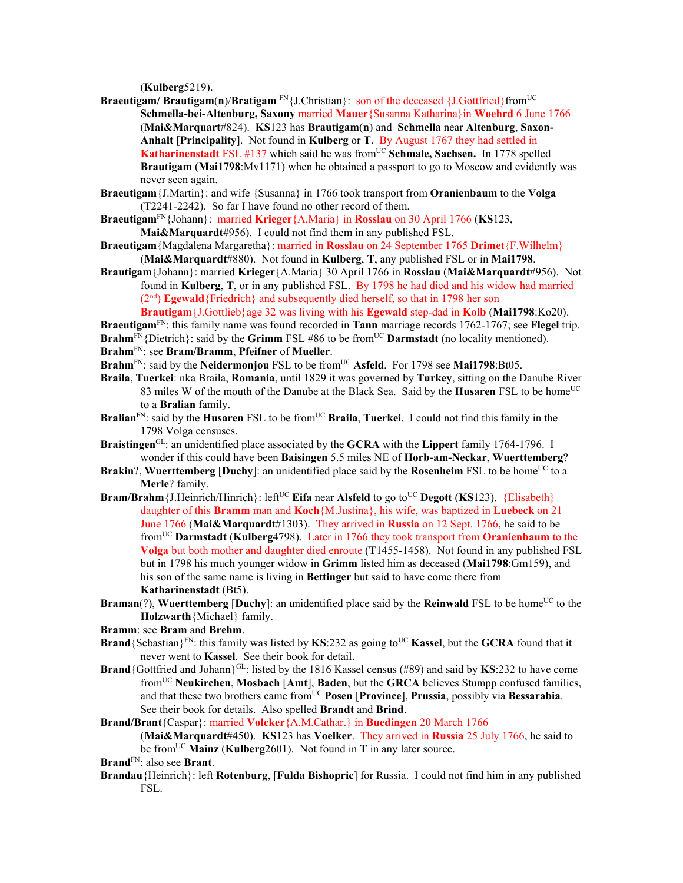(**Kulberg**5219).

- **Braeutigam/ Brautigam(n)/Bratigam**  $\text{FN}$  {J.Christian}: son of the deceased {J.Gottfried}from<sup>UC</sup> **Schmella-bei-Altenburg, Saxony** married **Mauer**{Susanna Katharina}in **Woehrd** 6 June 1766 (**Mai&Marquart**#824). **KS**123 has **Brautigam**(**n**) and **Schmella** near **Altenburg**, **Saxon-Anhalt** [**Principality**]. Not found in **Kulberg** or **T**. By August 1767 they had settled in **Katharinenstadt** FSL #137 which said he was from<sup>UC</sup> Schmale, Sachsen. In 1778 spelled **Brautigam** (**Mai1798**:Mv1171) when he obtained a passport to go to Moscow and evidently was never seen again.
- **Braeutigam**{J.Martin}: and wife {Susanna} in 1766 took transport from **Oranienbaum** to the **Volga** (T2241-2242). So far I have found no other record of them.
- **Braeutigam**FN{Johann}: married **Krieger**{A.Maria} in **Rosslau** on 30 April 1766 (**KS**123, **Mai&Marquardt**#956). I could not find them in any published FSL.
- **Braeutigam**{Magdalena Margaretha}: married in **Rosslau** on 24 September 1765 **Drimet**{F.Wilhelm} (**Mai&Marquardt**#880). Not found in **Kulberg**, **T**, any published FSL or in **Mai1798**.
- **Brautigam**{Johann}: married **Krieger**{A.Maria} 30 April 1766 in **Rosslau** (**Mai&Marquardt**#956). Not found in **Kulberg**, **T**, or in any published FSL. By 1798 he had died and his widow had married (2<sup>nd</sup>) **Egewald**{Friedrich} and subsequently died herself, so that in 1798 her son **Brautigam**{J.Gottlieb}age 32 was living with his **Egewald** step-dad in **Kolb** (**Mai1798**:Ko20).
- **Braeutigam**FN: this family name was found recorded in **Tann** marriage records 1762-1767; see **Flegel** trip.
- **Brahm<sup>FN</sup>**{Dietrich}: said by the **Grimm** FSL #86 to be from<sup>UC</sup> **Darmstadt** (no locality mentioned). **Brahm**FN: see **Bram/Bramm**, **Pfeifner** of **Mueller**.
- Brahm<sup>FN</sup>: said by the **Neidermonjou** FSL to be from<sup>UC</sup> Asfeld. For 1798 see Mai1798:Bt05.
- **Braila**, **Tuerkei**: nka Braila, **Romania**, until 1829 it was governed by **Turkey**, sitting on the Danube River 83 miles W of the mouth of the Danube at the Black Sea. Said by the **Husaren** FSL to be home<sup>UC</sup> to a **Bralian** family.
- **Bralian**<sup>FN</sup>: said by the **Husaren** FSL to be from<sup>UC</sup> **Braila, Tuerkei**. I could not find this family in the 1798 Volga censuses.
- **Braistingen**GL: an unidentified place associated by the **GCRA** with the **Lippert** family 1764-1796. I wonder if this could have been **Baisingen** 5.5 miles NE of **Horb-am-Neckar**, **Wuerttemberg**?
- **Brakin**?, **Wuerttemberg** [Duchy]: an unidentified place said by the **Rosenheim** FSL to be home<sup>UC</sup> to a **Merle**? family.
- **Bram/Brahm** {J.Heinrich/Hinrich}: left<sup>UC</sup> **Eifa** near **Alsfeld** to go to<sup>UC</sup> **Degott** (**KS**123). {Elisabeth} daughter of this **Bramm** man and **Koch**{M.Justina}, his wife, was baptized in **Luebeck** on 21 June 1766 (**Mai&Marquardt**#1303). They arrived in **Russia** on 12 Sept. 1766, he said to be fromUC **Darmstadt** (**Kulberg**4798). Later in 1766 they took transport from **Oranienbaum** to the **Volga** but both mother and daughter died enroute (**T**1455-1458). Not found in any published FSL but in 1798 his much younger widow in **Grimm** listed him as deceased (**Mai1798**:Gm159), and his son of the same name is living in **Bettinger** but said to have come there from **Katharinenstadt** (Bt5).
- **Braman**(?), **Wuerttemberg** [Duchy]: an unidentified place said by the **Reinwald** FSL to be home<sup>UC</sup> to the **Holzwarth**{Michael} family.
- **Bramm**: see **Bram** and **Brehm**.
- **Brand** {Sebastian}<sup>FN</sup>: this family was listed by **KS**:232 as going to<sup>UC</sup> **Kassel**, but the **GCRA** found that it never went to **Kassel**. See their book for detail.
- **Brand** {Gottfried and Johann}<sup>GL</sup>: listed by the 1816 Kassel census (#89) and said by **KS**:232 to have come fromUC **Neukirchen**, **Mosbach** [**Amt**], **Baden**, but the **GRCA** believes Stumpp confused families, and that these two brothers came fromUC **Posen** [**Province**], **Prussia**, possibly via **Bessarabia**. See their book for details. Also spelled **Brandt** and **Brind**.
- **Brand/Brant**{Caspar}: married **Volcker**{A.M.Cathar.} in **Buedingen** 20 March 1766 (**Mai&Marquardt**#450). **KS**123 has **Voelker**. They arrived in **Russia** 25 July 1766, he said to be fromUC **Mainz** (**Kulberg**2601). Not found in **T** in any later source.
- **Brand**FN: also see **Brant**.
- **Brandau**{Heinrich}: left **Rotenburg**, [**Fulda Bishopric**] for Russia. I could not find him in any published FSL.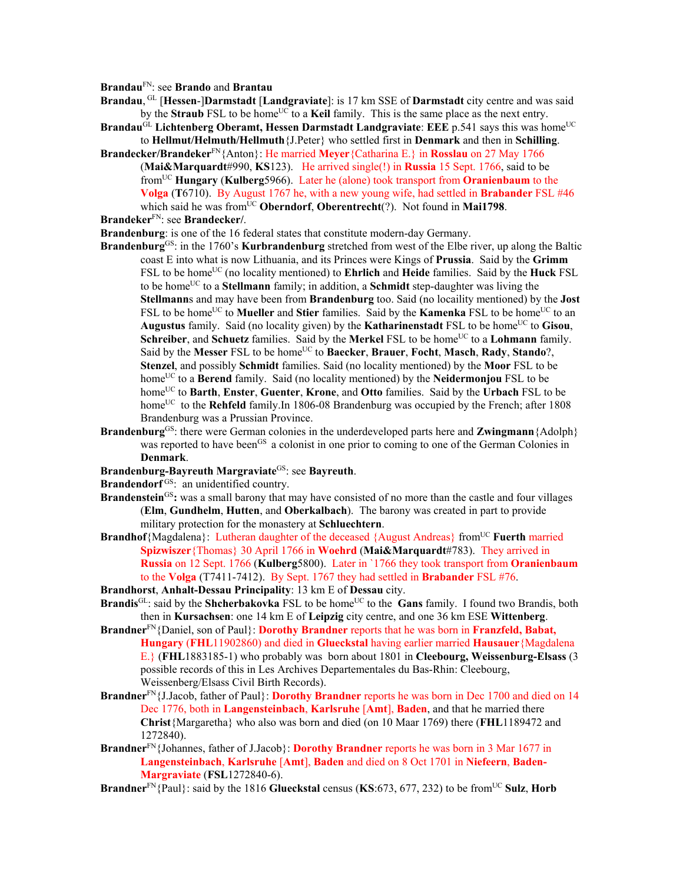**Brandau**FN: see **Brando** and **Brantau**

- **Brandau**, GL [**Hessen**-]**Darmstadt** [**Landgraviate**]: is 17 km SSE of **Darmstadt** city centre and was said by the **Straub** FSL to be home<sup>UC</sup> to a **Keil** family. This is the same place as the next entry.
- **Brandau<sup>GL</sup> Lichtenberg Oberamt, Hessen Darmstadt Landgraviate: EEE p.541 says this was home<sup>UC</sup>** to **Hellmut/Helmuth/Hellmuth**{J.Peter} who settled first in **Denmark** and then in **Schilling**.
- **Brandecker/Brandeker**FN{Anton}: He married **Meyer**{Catharina E.} in **Rosslau** on 27 May 1766 (**Mai&Marquardt**#990, **KS**123). He arrived single(!) in **Russia** 15 Sept. 1766, said to be fromUC **Hungary** (**Kulberg**5966). Later he (alone) took transport from **Oranienbaum** to the **Volga** (**T**6710). By August 1767 he, with a new young wife, had settled in **Brabander** FSL #46 which said he was from<sup>UC</sup> **Oberndorf**, **Oberentrecht** $(?)$ . Not found in **Mai1798**.
- **Brandeker**FN: see **Brandecker/**.
- **Brandenburg**: is one of the 16 federal states that constitute modern-day Germany.
- **Brandenburg**<sup>GS</sup>: in the 1760's **Kurbrandenburg** stretched from west of the Elbe river, up along the Baltic coast E into what is now Lithuania, and its Princes were Kings of **Prussia**.Said by the **Grimm** FSL to be homeUC (no locality mentioned) to **Ehrlich** and **Heide** families. Said by the **Huck** FSL to be homeUC to a **Stellmann** family; in addition, a **Schmidt** step-daughter was living the **Stellmann**s and may have been from **Brandenburg** too. Said (no locaility mentioned) by the **Jost** FSL to be home<sup>UC</sup> to **Mueller** and **Stier** families. Said by the **Kamenka** FSL to be home<sup>UC</sup> to an Augustus family. Said (no locality given) by the **Katharinenstadt** FSL to be home<sup>UC</sup> to **Gisou**, **Schreiber**, and **Schuetz** families. Said by the **Merkel** FSL to be home<sup>UC</sup> to a **Lohmann** family. Said by the **Messer** FSL to be homeUC to **Baecker**, **Brauer**, **Focht**, **Masch**, **Rady**, **Stando**?, **Stenzel**, and possibly **Schmidt** families. Said (no locality mentioned) by the **Moor** FSL to be home<sup>UC</sup> to a **Berend** family. Said (no locality mentioned) by the **Neidermonjou** FSL to be homeUC to **Barth**, **Enster**, **Guenter**, **Krone**, and **Otto** families. Said by the **Urbach** FSL to be home<sup>UC</sup> to the **Rehfeld** family.In 1806-08 Brandenburg was occupied by the French; after 1808 Brandenburg was a Prussian Province.
- **Brandenburg**<sup>GS</sup>: there were German colonies in the underdeveloped parts here and **Zwingmann**{Adolph} was reported to have been<sup>GS</sup> a colonist in one prior to coming to one of the German Colonies in **Denmark**.
- **Brandenburg-Bayreuth Margraviate**GS: see **Bayreuth**.
- **Brandendorf**<sup>GS</sup>: an unidentified country.
- **Brandenstein**<sup>GS</sup>: was a small barony that may have consisted of no more than the castle and four villages (**Elm**, **Gundhelm**, **Hutten**, and **Oberkalbach**). The barony was created in part to provide military protection for the monastery at **Schluechtern**.
- **Brandhof**{Magdalena}: Lutheran daughter of the deceased {August Andreas} from<sup>UC</sup> **Fuerth** married **Spizwiszer**{Thomas} 30 April 1766 in **Woehrd** (**Mai&Marquardt**#783). They arrived in **Russia** on 12 Sept. 1766 (**Kulberg**5800). Later in `1766 they took transport from **Oranienbaum** to the **Volga** (T7411-7412). By Sept. 1767 they had settled in **Brabander** FSL #76.
- **Brandhorst**, **Anhalt-Dessau Principality**: 13 km E of **Dessau** city.
- **Brandis**<sup>GL</sup>: said by the **Shcherbakovka** FSL to be home<sup>UC</sup> to the **Gans** family. I found two Brandis, both then in **Kursachsen**: one 14 km E of **Leipzig** city centre, and one 36 km ESE **Wittenberg**.
- **Brandner**FN{Daniel, son of Paul}: **Dorothy Brandner** reports that he was born in **Franzfeld, Babat, Hungary** (**FHL**11902860) and died in **Glueckstal** having earlier married **Hausauer**{Magdalena E.} (**FHL**1883185-1) who probably was born about 1801 in **Cleebourg, Weissenburg-Elsass** (3 possible records of this in Les Archives Departementales du Bas-Rhin: Cleebourg, Weissenberg/Elsass Civil Birth Records).
- **Brandner**FN{J.Jacob, father of Paul}: **Dorothy Brandner** reports he was born in Dec 1700 and died on 14 Dec 1776, both in **Langensteinbach**, **Karlsruhe** [**Amt**], **Baden**, and that he married there **Christ**{Margaretha} who also was born and died (on 10 Maar 1769) there (**FHL**1189472 and 1272840).
- **Brandner**FN{Johannes, father of J.Jacob}: **Dorothy Brandner** reports he was born in 3 Mar 1677 in **Langensteinbach**, **Karlsruhe** [**Amt**], **Baden** and died on 8 Oct 1701 in **Niefeern**, **Baden-Margraviate** (**FSL**1272840-6).
- **Brandner**<sup>FN</sup>{Paul}: said by the 1816 **Glueckstal** census (**KS**:673, 677, 232) to be from<sup>UC</sup> Sulz, Horb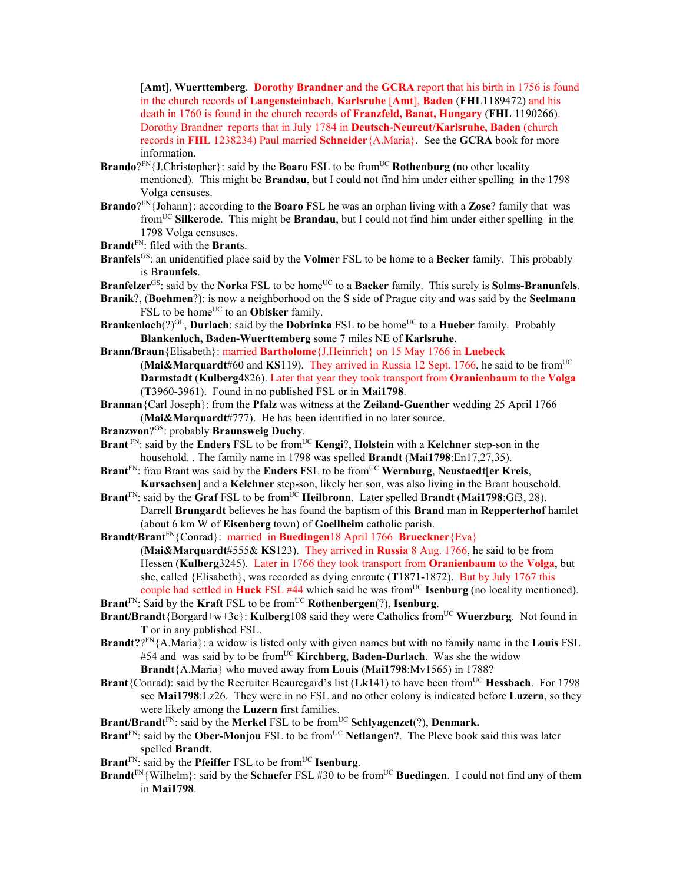[**Amt**], **Wuerttemberg**. **Dorothy Brandner** and the **GCRA** report that his birth in 1756 is found in the church records of **Langensteinbach**, **Karlsruhe** [**Amt**], **Baden** (**FHL**1189472) and his death in 1760 is found in the church records of **Franzfeld, Banat, Hungary** (**FHL** 1190266). Dorothy Brandner reports that in July 1784 in **Deutsch-Neureut/Karlsruhe, Baden** (church records in **FHL** 1238234) Paul married **Schneider**{A.Maria}. See the **GCRA** book for more information.

- **Brando**?FN{J.Christopher}: said by the **Boaro** FSL to be from<sup>UC</sup> **Rothenburg** (no other locality mentioned). This might be **Brandau**, but I could not find him under either spelling in the 1798 Volga censuses.
- **Brando**?FN{Johann}: according to the **Boaro** FSL he was an orphan living with a **Zose**? family that was fromUC **Silkerode**. This might be **Brandau**, but I could not find him under either spelling in the 1798 Volga censuses.
- **Brandt**FN: filed with the **Brant**s.
- **Branfels**GS: an unidentified place said by the **Volmer** FSL to be home to a **Becker** family. This probably is B**raunfels**.

**Branfelzer**<sup>GS</sup>: said by the **Norka** FSL to be home<sup>UC</sup> to a **Backer** family. This surely is **Solms-Branunfels**.

- **Branik**?, (**Boehmen**?): is now a neighborhood on the S side of Prague city and was said by the **Seelmann** FSL to be home<sup>UC</sup> to an **Obisker** family.
- **Brankenloch**(?)<sup>GL</sup>, **Durlach**: said by the **Dobrinka** FSL to be home<sup>UC</sup> to a **Hueber** family. Probably **Blankenloch, Baden-Wuerttemberg** some 7 miles NE of **Karlsruhe**.
- **Brann/Braun**{Elisabeth}: married **Bartholome**{J.Heinrich} on 15 May 1766 in **Luebeck** (**Mai&Marquardt**#60 and **KS**119). They arrived in Russia 12 Sept. 1766, he said to be fromUC **Darmstadt** (**Kulberg**4826). Later that year they took transport from **Oranienbaum** to the **Volga** (**T**3960-3961). Found in no published FSL or in **Mai1798**.
- **Brannan**{Carl Joseph}: from the **Pfalz** was witness at the **Zeiland-Guenther** wedding 25 April 1766 (**Mai&Marquardt**#777). He has been identified in no later source.
- **Branzwon**?GS: probably **Braunsweig Duchy**.
- **Brant**<sup>FN</sup>: said by the **Enders** FSL to be from<sup>UC</sup> **Kengi**?, **Holstein** with a **Kelchner** step-son in the household. . The family name in 1798 was spelled **Brandt** (**Mai1798**:En17,27,35).
- **Brant**<sup>FN</sup>: frau Brant was said by the **Enders** FSL to be from<sup>UC</sup> **Wernburg**, **Neustaedt**[**er Kreis**, **Kursachsen**] and a **Kelchner** step-son, likely her son, was also living in the Brant household.
- **Brant**<sup>FN</sup>: said by the **Graf** FSL to be from<sup>UC</sup> **Heilbronn**. Later spelled **Brandt** (Mai1798:Gf3, 28). Darrell **Brungardt** believes he has found the baptism of this **Brand** man in **Repperterhof** hamlet (about 6 km W of **Eisenberg** town) of **Goellheim** catholic parish.
- **Brandt/Brant**FN{Conrad}: married in **Buedingen**18 April 1766 **Brueckner**{Eva} (**Mai&Marquardt**#555& **KS**123). They arrived in **Russia** 8 Aug. 1766, he said to be from Hessen (**Kulberg**3245). Later in 1766 they took transport from **Oranienbaum** to the **Volga**, but she, called {Elisabeth}, was recorded as dying enroute (**T**1871-1872). But by July 1767 this couple had settled in **Huck** FSL #44 which said he was from<sup>UC</sup> **Isenburg** (no locality mentioned).
- **Brant**FN: Said by the **Kraft** FSL to be fromUC **Rothenbergen**(?), **Isenburg**.
- **Brant/Brandt**{Borgard+w+3c}: **Kulberg**108 said they were Catholics from<sup>UC</sup> Wuerzburg. Not found in **T** or in any published FSL.
- **Brandt?**?FN{A.Maria}: a widow is listed only with given names but with no family name in the **Louis** FSL #54 and was said by to be from<sup>UC</sup> **Kirchberg**, **Baden-Durlach**. Was she the widow **Brandt**{A.Maria} who moved away from **Louis** (**Mai1798**:Mv1565) in 1788?
- **Brant**{Conrad): said by the Recruiter Beauregard's list  $(Lk141)$  to have been from<sup>UC</sup> **Hessbach**. For 1798 see **Mai1798**:Lz26. They were in no FSL and no other colony is indicated before **Luzern**, so they were likely among the **Luzern** first families.
- **Brant/Brandt**<sup>FN</sup>: said by the **Merkel** FSL to be from<sup>UC</sup> **Schlyagenzet**(?), **Denmark.**
- **Brant**<sup>FN</sup>: said by the **Ober-Monjou** FSL to be from<sup>UC</sup> **Netlangen**?. The Pleve book said this was later spelled **Brandt**.
- **Brant**<sup>FN</sup>: said by the **Pfeiffer** FSL to be from<sup>UC</sup> **Isenburg**.
- **Brandt**<sup>FN</sup>{Wilhelm}: said by the **Schaefer** FSL #30 to be from<sup>UC</sup> Buedingen. I could not find any of them in **Mai1798**.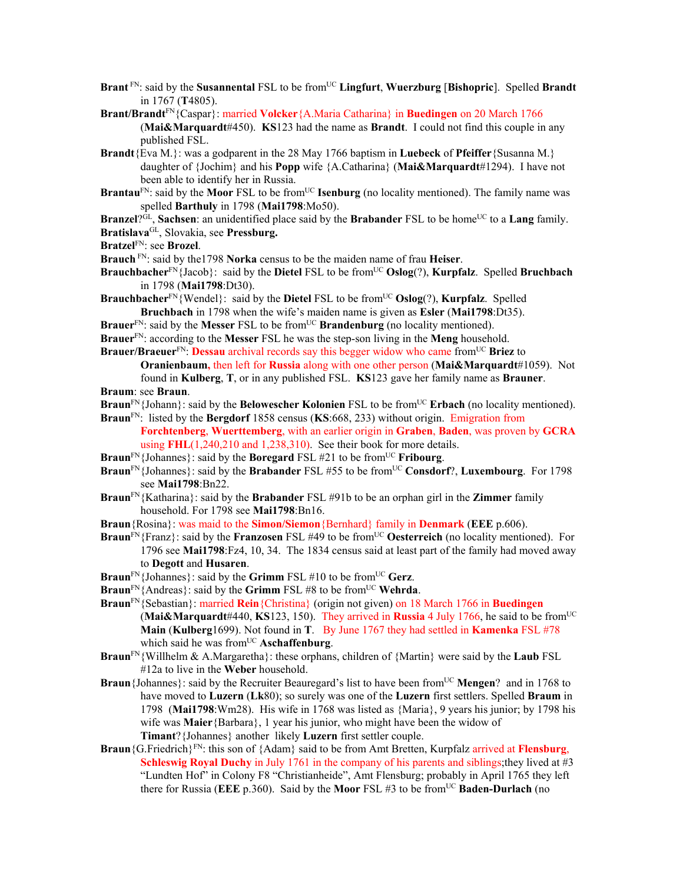- **Brant**<sup>FN</sup>: said by the **Susannental** FSL to be from<sup>UC</sup> Lingfurt, **Wuerzburg** [Bishopric]. Spelled Brandt in 1767 (**T**4805).
- **Brant/Brandt**FN{Caspar}: married **Volcker**{A.Maria Catharina} in **Buedingen** on 20 March 1766 (**Mai&Marquardt**#450). **KS**123 had the name as **Brandt**. I could not find this couple in any published FSL.
- **Brandt**{Eva M.}: was a godparent in the 28 May 1766 baptism in **Luebeck** of **Pfeiffer**{Susanna M.} daughter of {Jochim} and his **Popp** wife {A.Catharina} (**Mai&Marquardt**#1294). I have not been able to identify her in Russia.
- **Brantau**<sup>FN</sup>: said by the **Moor** FSL to be from<sup>UC</sup> **Isenburg** (no locality mentioned). The family name was spelled **Barthuly** in 1798 (**Mai1798**:Mo50).
- **Branzel**?<sup>GL</sup>, **Sachsen**: an unidentified place said by the **Brabander** FSL to be home<sup>UC</sup> to a **Lang** family.
- **Bratislava**GL, Slovakia, see **Pressburg.**
- **Bratzel**FN: see **Brozel**.
- **Brauch** FN: said by the1798 **Norka** census to be the maiden name of frau **Heiser**.
- **Brauchbacher**<sup>FN</sup>{Jacob}: said by the **Dietel** FSL to be from<sup>UC</sup> **Oslog**(?), **Kurpfalz**. Spelled **Bruchbach** in 1798 (**Mai1798**:Dt30).
- **Brauchbacher**<sup>FN</sup>{Wendel}: said by the **Dietel** FSL to be from<sup>UC</sup> **Oslog**(?), **Kurpfalz**. Spelled **Bruchbach** in 1798 when the wife's maiden name is given as **Esler** (**Mai1798**:Dt35).
- **Brauer**<sup>FN</sup>: said by the **Messer** FSL to be from<sup>UC</sup> **Brandenburg** (no locality mentioned).
- **Brauer**FN: according to the **Messer** FSL he was the step-son living in the **Meng** household.
- **Brauer/Braeuer**<sup>FN</sup>: **Dessau** archival records say this begger widow who came from<sup>UC</sup> Briez to
- **Oranienbaum,** then left for **Russia** along with one other person (**Mai&Marquardt**#1059). Not found in **Kulberg**, **T**, or in any published FSL. **KS**123 gave her family name as **Brauner**. **Braum**: see **Braun**.
- **Braun**<sup>FN</sup>{Johann}: said by the **Belowescher Kolonien** FSL to be from<sup>UC</sup> **Erbach** (no locality mentioned).
- **Braun**FN: listed by the **Bergdorf** 1858 census (**KS**:668, 233) without origin. Emigration from **Forchtenberg**, **Wuerttemberg**, with an earlier origin in **Graben**, **Baden**, was proven by **GCRA**
- using **FHL**(1,240,210 and 1,238,310). See their book for more details.
- **Braun**<sup>FN</sup>{Johannes}: said by the **Boregard** FSL #21 to be from<sup>UC</sup> **Fribourg**.
- **Braun**<sup>FN</sup>{Johannes}: said by the **Brabander** FSL #55 to be from<sup>UC</sup> Consdorf?, Luxembourg. For 1798 see **Mai1798**:Bn22.
- **Braun**FN{Katharina}: said by the **Brabander** FSL #91b to be an orphan girl in the **Zimmer** family household. For 1798 see **Mai1798**:Bn16.
- **Braun**{Rosina}: was maid to the **Simon/Siemon**{Bernhard} family in **Denmark** (**EEE** p.606).
- **Braun**<sup>FN</sup>{Franz}: said by the **Franzosen** FSL #49 to be from<sup>UC</sup> Oesterreich (no locality mentioned). For 1796 see **Mai1798**:Fz4, 10, 34. The 1834 census said at least part of the family had moved away to **Degott** and **Husaren**.
- **Braun**<sup>FN</sup>{Johannes}: said by the **Grimm** FSL #10 to be from<sup>UC</sup> **Gerz**.
- **Braun**<sup>FN</sup>{Andreas}: said by the **Grimm** FSL #8 to be from<sup>UC</sup> **Wehrda**.
- **Braun**FN{Sebastian}: married **Rein**{Christina} (origin not given) on 18 March 1766 in **Buedingen (Mai&Marquardt**#440, **KS**123, 150). They arrived in **Russia** 4 July 1766, he said to be from<sup>UC</sup> **Main** (**Kulberg**1699). Not found in **T**. By June 1767 they had settled in **Kamenka** FSL #78 which said he was from<sup>UC</sup> Aschaffenburg.
- **Braun**FN{Willhelm & A.Margaretha}: these orphans, children of {Martin} were said by the **Laub** FSL #12a to live in the **Weber** household.
- **Braun**{Johannes}: said by the Recruiter Beauregard's list to have been from<sup>UC</sup> Mengen? and in 1768 to have moved to **Luzern** (**Lk**80); so surely was one of the **Luzern** first settlers. Spelled **Braum** in 1798 (**Mai1798**:Wm28). His wife in 1768 was listed as {Maria}, 9 years his junior; by 1798 his wife was **Maier**{Barbara}, 1 year his junior, who might have been the widow of **Timant**?{Johannes} another likely **Luzern** first settler couple.
- **Braun**{G.Friedrich}FN: this son of {Adam} said to be from Amt Bretten, Kurpfalz arrived at **Flensburg**, **Schleswig Royal Duchy** in July 1761 in the company of his parents and siblings; they lived at #3 "Lundten Hof" in Colony F8 "Christianheide", Amt Flensburg; probably in April 1765 they left there for Russia (EEE p.360). Said by the **Moor** FSL #3 to be from<sup>UC</sup> **Baden-Durlach** (no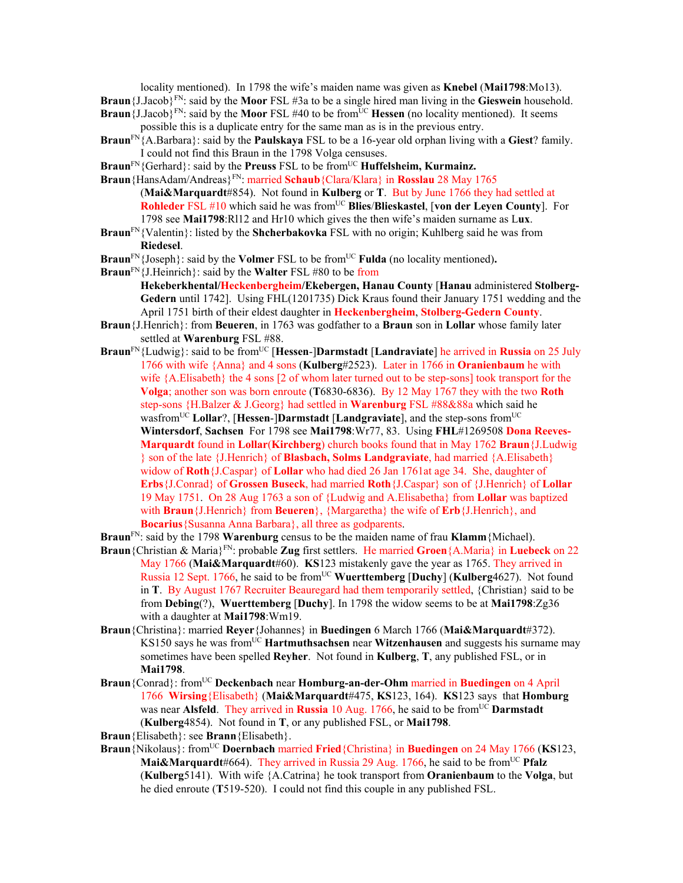locality mentioned). In 1798 the wife's maiden name was given as **Knebel** (**Mai1798**:Mo13). **Braun**{J.Jacob}FN: said by the **Moor** FSL #3a to be a single hired man living in the **Gieswein** household. **Braun**{J.Jacob}FN: said by the **Moor** FSL #40 to be from<sup>UC</sup> **Hessen** (no locality mentioned). It seems

- possible this is a duplicate entry for the same man as is in the previous entry.
- **Braun**FN{A.Barbara}: said by the **Paulskaya** FSL to be a 16-year old orphan living with a **Giest**? family. I could not find this Braun in the 1798 Volga censuses.
- **Braun**<sup>FN</sup>{Gerhard}: said by the **Preuss** FSL to be from<sup>UC</sup> **Huffelsheim, Kurmainz.**
- **Braun**{HansAdam/Andreas}FN: married **Schaub**{Clara/Klara} in **Rosslau** 28 May 1765 (**Mai&Marquardt**#854). Not found in **Kulberg** or **T**. But by June 1766 they had settled at **Rohleder** FSL #10 which said he was from<sup>UC</sup> **Blies/Blieskastel**, [von der Leyen County]. For 1798 see **Mai1798**:Rl12 and Hr10 which gives the then wife's maiden surname as L**ux**.
- **Braun**FN{Valentin}: listed by the **Shcherbakovka** FSL with no origin; Kuhlberg said he was from **Riedesel**.
- **Braun**<sup>FN</sup>{Joseph}: said by the **Volmer** FSL to be from<sup>UC</sup> **Fulda** (no locality mentioned).
- **Braun**FN{J.Heinrich}: said by the **Walter** FSL #80 to be from
	- **Hekeberkhental/Heckenbergheim/Ekebergen, Hanau County** [**Hanau** administered **Stolberg-Gedern** until 1742]. Using FHL(1201735) Dick Kraus found their January 1751 wedding and the April 1751 birth of their eldest daughter in **Heckenbergheim**, **Stolberg-Gedern County**.
- **Braun**{J.Henrich}: from **Beueren**, in 1763 was godfather to a **Braun** son in **Lollar** whose family later settled at **Warenburg** FSL #88.
- **Braun**FN{Ludwig}: said to be fromUC [**Hessen**-]**Darmstadt** [**Landraviate**] he arrived in **Russia** on 25 July 1766 with wife {Anna} and 4 sons (**Kulberg**#2523). Later in 1766 in **Oranienbaum** he with wife {A.Elisabeth} the 4 sons [2 of whom later turned out to be step-sons] took transport for the **Volga**; another son was born enroute (**T**6830-6836). By 12 May 1767 they with the two **Roth** step-sons {H.Balzer & J.Georg} had settled in **Warenburg** FSL #88&88a which said he wasfrom<sup>UC</sup> Lollar?, [Hessen-]Darmstadt [Landgraviate], and the step-sons from<sup>UC</sup> **Wintersdorf**, **Sachsen** For 1798 see **Mai1798**:Wr77, 83. Using **FHL**#1269508 **Dona Reeves-Marquardt** found in **Lollar**(**Kirchberg**) church books found that in May 1762 **Braun**{J.Ludwig } son of the late {J.Henrich} of **Blasbach, Solms Landgraviate**, had married {A.Elisabeth} widow of **Roth**{J.Caspar} of **Lollar** who had died 26 Jan 1761at age 34. She, daughter of **Erbs**{J.Conrad} of **Grossen Buseck**, had married **Roth**{J.Caspar} son of {J.Henrich} of **Lollar** 19 May 1751. On 28 Aug 1763 a son of {Ludwig and A.Elisabetha} from **Lollar** was baptized with **Braun**{J.Henrich} from **Beueren**}, {Margaretha} the wife of **Erb**{J.Henrich}, and **Bocarius**{Susanna Anna Barbara}, all three as godparents.
- **Braun**FN: said by the 1798 **Warenburg** census to be the maiden name of frau **Klamm**{Michael).
- **Braun**{Christian & Maria}FN: probable **Zug** first settlers. He married **Groen**{A.Maria} in **Luebeck** on 22 May 1766 (**Mai&Marquardt**#60). **KS**123 mistakenly gave the year as 1765. They arrived in Russia 12 Sept. 1766, he said to be from<sup>UC</sup> Wuerttemberg [Duchy] (Kulberg4627). Not found in **T**. By August 1767 Recruiter Beauregard had them temporarily settled, {Christian} said to be from **Debing**(?), **Wuerttemberg** [**Duchy**]. In 1798 the widow seems to be at **Mai1798**:Zg36 with a daughter at **Mai1798**:Wm19.
- **Braun**{Christina}: married **Reyer**{Johannes} in **Buedingen** 6 March 1766 (**Mai&Marquardt**#372). KS150 says he was from<sup>UC</sup> **Hartmuthsachsen** near **Witzenhausen** and suggests his surname may sometimes have been spelled **Reyher**. Not found in **Kulberg**, **T**, any published FSL, or in **Mai1798**.
- **Braun**{Conrad}: fromUC **Deckenbach** near **Homburg-an-der-Ohm** married in **Buedingen** on 4 April 1766 **Wirsing**{Elisabeth} (**Mai&Marquardt**#475, **KS**123, 164). **KS**123 says that **Homburg** was near **Alsfeld**. They arrived in **Russia** 10 Aug. 1766, he said to be from<sup>UC</sup> Darmstadt (**Kulberg**4854). Not found in **T**, or any published FSL, or **Mai1798**.
- **Braun**{Elisabeth}: see **Brann**{Elisabeth}.
- **Braun**{Nikolaus}: fromUC **Doernbach** married **Fried**{Christina} in **Buedingen** on 24 May 1766 (**KS**123, **Mai&Marquardt**#664). They arrived in Russia 29 Aug. 1766, he said to be from<sup>UC</sup> **Pfalz** (**Kulberg**5141). With wife {A.Catrina} he took transport from **Oranienbaum** to the **Volga**, but he died enroute (**T**519-520). I could not find this couple in any published FSL.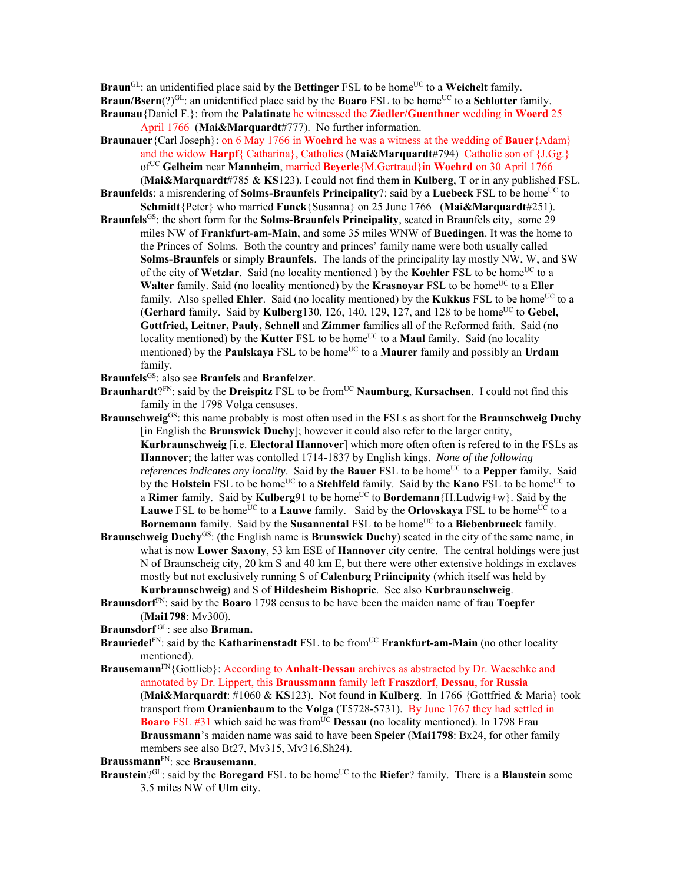**Braun**<sup>GL</sup>: an unidentified place said by the **Bettinger** FSL to be home<sup>UC</sup> to a **Weichelt** family.

**Braun/Bsern**(?)<sup>GL</sup>: an unidentified place said by the **Boaro** FSL to be home<sup>UC</sup> to a **Schlotter** family.

- **Braunau**{Daniel F.}: from the **Palatinate** he witnessed the **Ziedler/Guenthner** wedding in **Woerd** 25 April 1766 (**Mai&Marquardt**#777). No further information.
- **Braunauer**{Carl Joseph}: on 6 May 1766 in **Woehrd** he was a witness at the wedding of **Bauer**{Adam} and the widow **Harpf**{ Catharina}, Catholics (**Mai&Marquardt**#794) Catholic son of {J.Gg.} ofUC **Gelheim** near **Mannheim**, married **Beyerle**{M.Gertraud}in **Woehrd** on 30 April 1766 (**Mai&Marquardt**#785 & **KS**123). I could not find them in **Kulberg**, **T** or in any published FSL.
- **Braunfelds**: a misrendering of **Solms-Braunfels Principality**?: said by a **Luebeck** FSL to be home<sup>UC</sup> to **Schmidt**{Peter} who married **Funck**{Susanna} on 25 June 1766 (**Mai&Marquardt**#251).
- **Braunfels**GS: the short form for the **Solms-Braunfels Principality**, seated in Braunfels city, some 29 miles NW of **Frankfurt-am-Main**, and some 35 miles WNW of **Buedingen**. It was the home to the Princes of Solms. Both the country and princes' family name were both usually called **Solms-Braunfels** or simply **Braunfels**. The lands of the principality lay mostly NW, W, and SW of the city of **Wetzlar**. Said (no locality mentioned) by the **Koehler** FSL to be home<sup>UC</sup> to a **Walter** family. Said (no locality mentioned) by the **Krasnovar** FSL to be home<sup>UC</sup> to a **Eller** family. Also spelled **Ehler**. Said (no locality mentioned) by the **Kukkus** FSL to be home<sup>UC</sup> to a (**Gerhard** family. Said by **Kulberg**130, 126, 140, 129, 127, and 128 to be home<sup>UC</sup> to **Gebel**, **Gottfried, Leitner, Pauly, Schnell** and **Zimmer** families all of the Reformed faith. Said (no locality mentioned) by the **Kutter** FSL to be home<sup>UC</sup> to a **Maul** family. Said (no locality mentioned) by the **Paulskaya** FSL to be home<sup>UC</sup> to a **Maurer** family and possibly an **Urdam** family.

**Braunfels**GS: also see **Branfels** and **Branfelzer**.

- Braunhardt?<sup>FN</sup>: said by the Dreispitz FSL to be from<sup>UC</sup> Naumburg, Kursachsen. I could not find this family in the 1798 Volga censuses.
- **Braunschweig**GS: this name probably is most often used in the FSLs as short for the **Braunschweig Duchy** [in English the **Brunswick Duchy**]; however it could also refer to the larger entity, **Kurbraunschweig** [i.e. **Electoral Hannover**] which more often often is refered to in the FSLs as **Hannover**; the latter was contolled 1714-1837 by English kings. *None of the following references indicates any locality*. Said by the **Bauer** FSL to be home<sup>UC</sup> to a **Pepper** family. Said by the **Holstein** FSL to be home<sup>UC</sup> to a **Stehlfeld** family. Said by the **Kano** FSL to be home<sup>UC</sup> to a **Rimer** family. Said by **Kulberg**91 to be home<sup>UC</sup> to **Bordemann**{H.Ludwig+w}. Said by the **Lauwe** FSL to be home<sup>UC</sup> to a **Lauwe** family. Said by the **Orlovskaya** FSL to be home<sup>UC</sup> to a **Bornemann** family. Said by the **Susannental** FSL to be home<sup>UC</sup> to a **Biebenbrueck** family.
- **Braunschweig Duchy**GS: (the English name is **Brunswick Duchy**) seated in the city of the same name, in what is now **Lower Saxony**, 53 km ESE of **Hannover** city centre. The central holdings were just N of Braunscheig city, 20 km S and 40 km E, but there were other extensive holdings in exclaves mostly but not exclusively running S of **Calenburg Priincipaity** (which itself was held by **Kurbraunschweig**) and S of **Hildesheim Bishopric**. See also **Kurbraunschweig**.
- **Braunsdorf**FN: said by the **Boaro** 1798 census to be have been the maiden name of frau **Toepfer** (**Mai1798**: Mv300).

**Braunsdorf** GL: see also **Braman.** 

- **Brauriedel**<sup>FN</sup>: said by the **Katharinenstadt** FSL to be from<sup>UC</sup> **Frankfurt-am-Main** (no other locality mentioned).
- **Brausemann**FN{Gottlieb}: According to **Anhalt-Dessau** archives as abstracted by Dr. Waeschke and annotated by Dr. Lippert, this **Braussmann** family left **Fraszdorf**, **Dessau**, for **Russia** (**Mai&Marquardt**: #1060 & **KS**123). Not found in **Kulberg**. In 1766 {Gottfried & Maria} took transport from **Oranienbaum** to the **Volga** (**T**5728-5731). By June 1767 they had settled in **Boaro** FSL #31 which said he was from<sup>UC</sup> **Dessau** (no locality mentioned). In 1798 Frau **Braussmann**'s maiden name was said to have been **Speier** (**Mai1798**: Bx24, for other family members see also Bt27, Mv315, Mv316,Sh24).

**Braussmann**FN: see **Brausemann**.

**Braustein**?GL: said by the **Boregard** FSL to be home<sup>UC</sup> to the **Riefer**? family. There is a **Blaustein** some 3.5 miles NW of **Ulm** city.